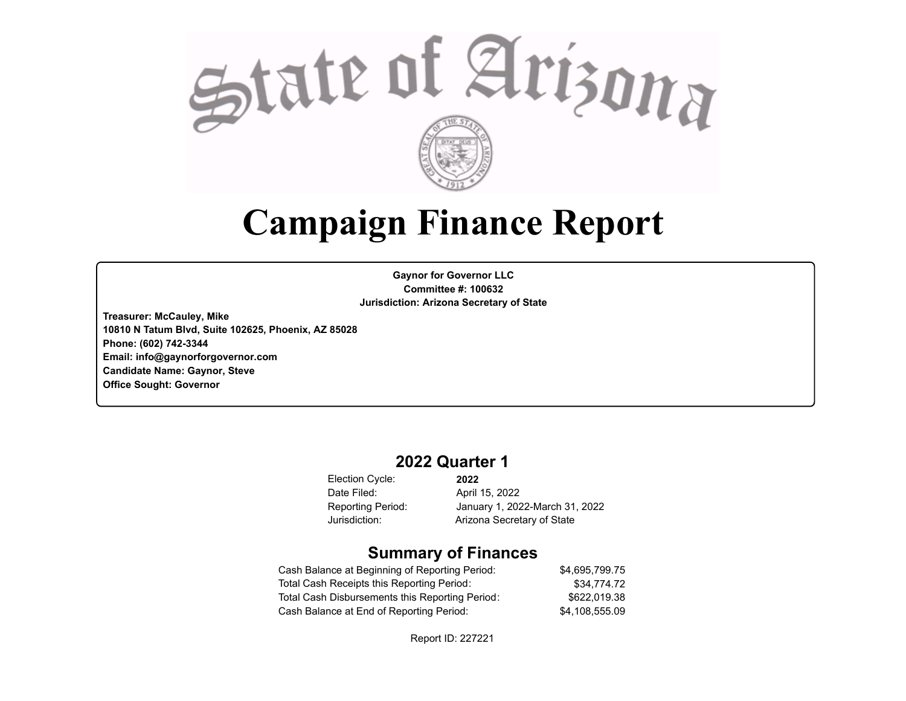

# **Campaign Finance Report**

**Gaynor for Governor LLC Committee #: 100632 Jurisdiction: Arizona Secretary of State**

**Treasurer: McCauley, Mike 10810 N Tatum Blvd, Suite 102625, Phoenix, AZ 85028 Phone: (602) 742-3344 Email: info@gaynorforgovernor.com Candidate Name: Gaynor, Steve Office Sought: Governor**

# **2022 Quarter 1**

Election Cycle: Date Filed:

**2022** April 15, 2022 Reporting Period: January 1, 2022-March 31, 2022 Jurisdiction: Arizona Secretary of State

# **Summary of Finances**

| Cash Balance at Beginning of Reporting Period:  | \$4.695.799.75 |
|-------------------------------------------------|----------------|
| Total Cash Receipts this Reporting Period:      | \$34,774.72    |
| Total Cash Disbursements this Reporting Period: | \$622.019.38   |
| Cash Balance at End of Reporting Period:        | \$4.108.555.09 |

Report ID: 227221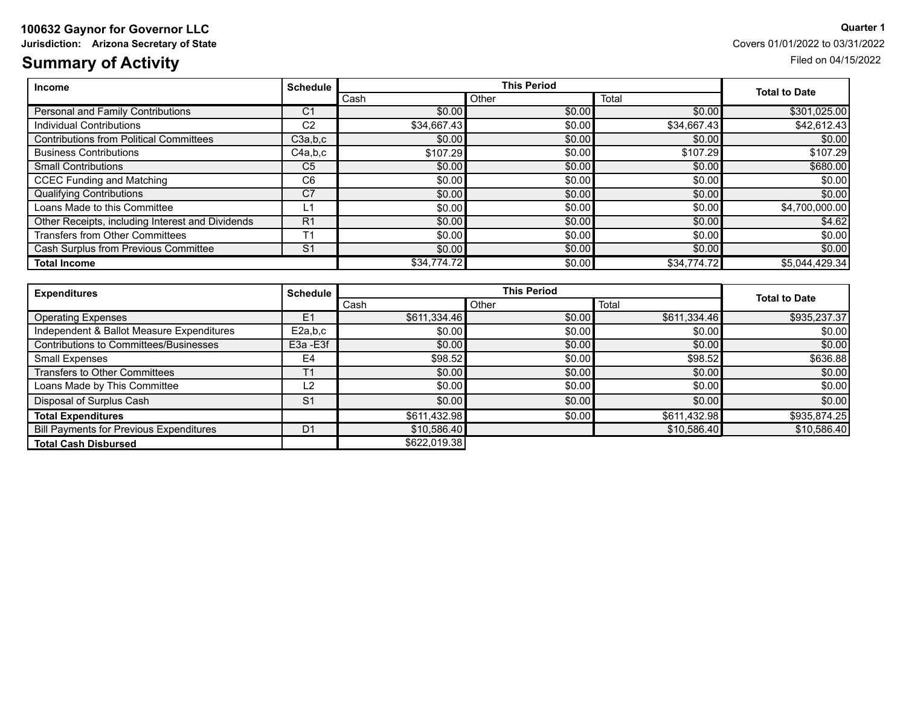# **100632 Gaynor for Governor LLC Quarter 1**

**Jurisdiction:** Arizona Secretary of State Covers 01/01/2022 to 03/31/2022

# **Summary of Activity** Filed on 04/15/2022

| <b>Income</b>                                    | <b>Schedule</b> |             | <b>This Period</b> |             |                      |  |
|--------------------------------------------------|-----------------|-------------|--------------------|-------------|----------------------|--|
|                                                  |                 | Cash        | Other              | Total       | <b>Total to Date</b> |  |
| Personal and Family Contributions                | C <sub>1</sub>  | \$0.00      | \$0.00             | \$0.00      | \$301,025.00         |  |
| Individual Contributions                         | C <sub>2</sub>  | \$34,667.43 | \$0.00             | \$34,667.43 | \$42,612.43          |  |
| <b>Contributions from Political Committees</b>   | C3a,b,c         | \$0.00      | \$0.00             | \$0.00      | \$0.00               |  |
| <b>Business Contributions</b>                    | C4a,b,c         | \$107.29    | \$0.00             | \$107.29    | \$107.29             |  |
| <b>Small Contributions</b>                       | C <sub>5</sub>  | \$0.00      | \$0.00             | \$0.00      | \$680.00             |  |
| <b>CCEC Funding and Matching</b>                 | C <sub>6</sub>  | \$0.00      | \$0.00             | \$0.00      | \$0.00]              |  |
| <b>Qualifying Contributions</b>                  | C <sub>7</sub>  | \$0.00      | \$0.00             | \$0.00      | \$0.00               |  |
| Loans Made to this Committee                     | L1              | \$0.00      | \$0.00             | \$0.00      | \$4,700,000.00       |  |
| Other Receipts, including Interest and Dividends | R <sub>1</sub>  | \$0.00      | \$0.00             | \$0.00      | \$4.62]              |  |
| <b>Transfers from Other Committees</b>           | T <sub>1</sub>  | \$0.00      | \$0.00             | \$0.00      | \$0.00               |  |
| Cash Surplus from Previous Committee             | S <sub>1</sub>  | \$0.00      | \$0.00             | \$0.00      | \$0.00               |  |
| <b>Total Income</b>                              |                 | \$34.774.72 | \$0.00             | \$34,774.72 | \$5,044,429.34]      |  |

| <b>Expenditures</b>                            | <b>Schedule</b> | <b>This Period</b> |                |              | <b>Total to Date</b> |  |
|------------------------------------------------|-----------------|--------------------|----------------|--------------|----------------------|--|
|                                                |                 | Cash               | Total<br>Other |              |                      |  |
| <b>Operating Expenses</b>                      | E1              | \$611,334.46       | \$0.00         | \$611,334.46 | \$935,237.37         |  |
| Independent & Ballot Measure Expenditures      | E2a.b.c         | \$0.00             | \$0.00         | \$0.00       | \$0.00               |  |
| Contributions to Committees/Businesses         | E3a - E3f       | \$0.00             | \$0.00         | \$0.00       | \$0.00               |  |
| <b>Small Expenses</b>                          | E4              | \$98.52            | \$0.00         | \$98.52      | \$636.88             |  |
| <b>Transfers to Other Committees</b>           |                 | \$0.00             | \$0.00         | \$0.00       | \$0.00               |  |
| Loans Made by This Committee                   | L2              | \$0.00             | \$0.00         | \$0.00       | \$0.00               |  |
| Disposal of Surplus Cash                       | S <sub>1</sub>  | \$0.00             | \$0.00         | \$0.00       | \$0.00               |  |
| <b>Total Expenditures</b>                      |                 | \$611,432.98       | \$0.00         | \$611,432.98 | \$935,874.25         |  |
| <b>Bill Payments for Previous Expenditures</b> | D <sub>1</sub>  | \$10,586.40        |                | \$10,586.40  | \$10,586.40          |  |
| <b>Total Cash Disbursed</b>                    |                 | \$622,019.38       |                |              |                      |  |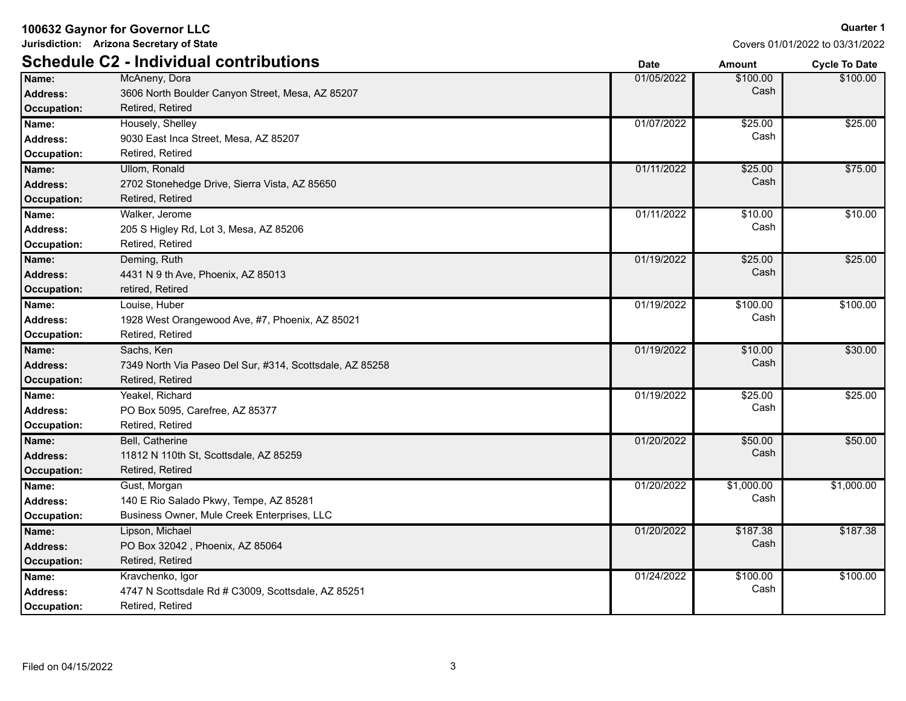**Jurisdiction: Arizona Secretary of State**

Covers 01/01/2022 to 03/31/2022

|                    | <b>Schedule C2 - Individual contributions</b>            | <b>Date</b> | <b>Amount</b> | <b>Cycle To Date</b> |
|--------------------|----------------------------------------------------------|-------------|---------------|----------------------|
| Name:              | McAneny, Dora                                            | 01/05/2022  | \$100.00      | \$100.00             |
| <b>Address:</b>    | 3606 North Boulder Canyon Street, Mesa, AZ 85207         |             | Cash          |                      |
| <b>Occupation:</b> | Retired, Retired                                         |             |               |                      |
| Name:              | Housely, Shelley                                         | 01/07/2022  | \$25.00       | \$25.00              |
| <b>Address:</b>    | 9030 East Inca Street, Mesa, AZ 85207                    |             | Cash          |                      |
| Occupation:        | Retired, Retired                                         |             |               |                      |
| Name:              | <b>Ullom, Ronald</b>                                     | 01/11/2022  | \$25.00       | \$75.00              |
| <b>Address:</b>    | 2702 Stonehedge Drive, Sierra Vista, AZ 85650            |             | Cash          |                      |
| <b>Occupation:</b> | Retired, Retired                                         |             |               |                      |
| Name:              | Walker, Jerome                                           | 01/11/2022  | \$10.00       | \$10.00              |
| <b>Address:</b>    | 205 S Higley Rd, Lot 3, Mesa, AZ 85206                   |             | Cash          |                      |
| Occupation:        | Retired, Retired                                         |             |               |                      |
| Name:              | Deming, Ruth                                             | 01/19/2022  | \$25.00       | \$25.00              |
| <b>Address:</b>    | 4431 N 9 th Ave, Phoenix, AZ 85013                       |             | Cash          |                      |
| <b>Occupation:</b> | retired, Retired                                         |             |               |                      |
| Name:              | Louise, Huber                                            | 01/19/2022  | \$100.00      | \$100.00             |
| <b>Address:</b>    | 1928 West Orangewood Ave, #7, Phoenix, AZ 85021          |             | Cash          |                      |
| Occupation:        | Retired, Retired                                         |             |               |                      |
| Name:              | Sachs, Ken                                               | 01/19/2022  | \$10.00       | \$30.00              |
| <b>Address:</b>    | 7349 North Via Paseo Del Sur, #314, Scottsdale, AZ 85258 |             | Cash          |                      |
| <b>Occupation:</b> | Retired, Retired                                         |             |               |                      |
| Name:              | Yeakel, Richard                                          | 01/19/2022  | \$25.00       | \$25.00              |
| <b>Address:</b>    | PO Box 5095, Carefree, AZ 85377                          |             | Cash          |                      |
| Occupation:        | Retired, Retired                                         |             |               |                      |
| Name:              | Bell, Catherine                                          | 01/20/2022  | \$50.00       | \$50.00              |
| <b>Address:</b>    | 11812 N 110th St, Scottsdale, AZ 85259                   |             | Cash          |                      |
| <b>Occupation:</b> | Retired, Retired                                         |             |               |                      |
| Name:              | Gust, Morgan                                             | 01/20/2022  | \$1,000.00    | \$1,000.00           |
| <b>Address:</b>    | 140 E Rio Salado Pkwy, Tempe, AZ 85281                   |             | Cash          |                      |
| Occupation:        | Business Owner, Mule Creek Enterprises, LLC              |             |               |                      |
| Name:              | Lipson, Michael                                          | 01/20/2022  | \$187.38      | \$187.38             |
| <b>Address:</b>    | PO Box 32042, Phoenix, AZ 85064                          |             | Cash          |                      |
| <b>Occupation:</b> | Retired, Retired                                         |             |               |                      |
| Name:              | Kravchenko, Igor                                         | 01/24/2022  | \$100.00      | \$100.00             |
| <b>Address:</b>    | 4747 N Scottsdale Rd # C3009, Scottsdale, AZ 85251       |             | Cash          |                      |
| Occupation:        | Retired, Retired                                         |             |               |                      |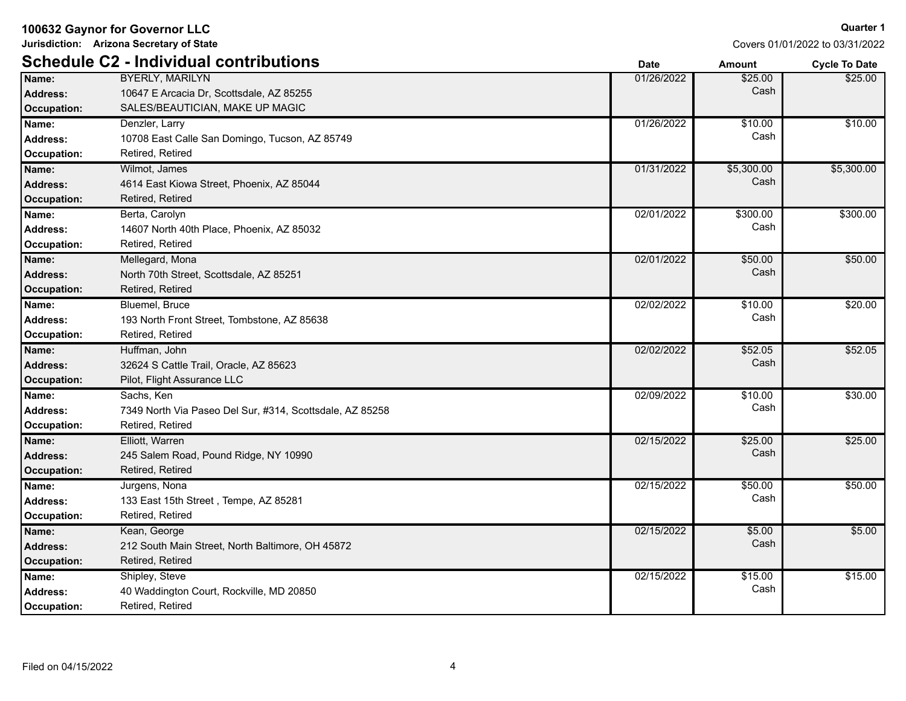**Jurisdiction: Arizona Secretary of State**

|                    | <b>Schedule C2 - Individual contributions</b>            | <b>Date</b> | <b>Amount</b> | <b>Cycle To Date</b> |
|--------------------|----------------------------------------------------------|-------------|---------------|----------------------|
| Name:              | <b>BYERLY, MARILYN</b>                                   | 01/26/2022  | \$25.00       | \$25.00              |
| <b>Address:</b>    | 10647 E Arcacia Dr, Scottsdale, AZ 85255                 |             | Cash          |                      |
| <b>Occupation:</b> | SALES/BEAUTICIAN, MAKE UP MAGIC                          |             |               |                      |
| Name:              | Denzler, Larry                                           | 01/26/2022  | \$10.00       | \$10.00              |
| <b>Address:</b>    | 10708 East Calle San Domingo, Tucson, AZ 85749           |             | Cash          |                      |
| <b>Occupation:</b> | Retired, Retired                                         |             |               |                      |
| Name:              | Wilmot, James                                            | 01/31/2022  | \$5,300.00    | \$5,300.00           |
| <b>Address:</b>    | 4614 East Kiowa Street, Phoenix, AZ 85044                |             | Cash          |                      |
| <b>Occupation:</b> | Retired, Retired                                         |             |               |                      |
| Name:              | Berta, Carolyn                                           | 02/01/2022  | \$300.00      | \$300.00             |
| <b>Address:</b>    | 14607 North 40th Place, Phoenix, AZ 85032                |             | Cash          |                      |
| Occupation:        | Retired, Retired                                         |             |               |                      |
| Name:              | Mellegard, Mona                                          | 02/01/2022  | \$50.00       | \$50.00              |
| <b>Address:</b>    | North 70th Street, Scottsdale, AZ 85251                  |             | Cash          |                      |
| <b>Occupation:</b> | Retired, Retired                                         |             |               |                      |
| Name:              | Bluemel, Bruce                                           | 02/02/2022  | \$10.00       | \$20.00              |
| Address:           | 193 North Front Street, Tombstone, AZ 85638              |             | Cash          |                      |
| <b>Occupation:</b> | Retired, Retired                                         |             |               |                      |
| Name:              | Huffman, John                                            | 02/02/2022  | \$52.05       | \$52.05              |
| <b>Address:</b>    | 32624 S Cattle Trail, Oracle, AZ 85623                   |             | Cash          |                      |
| <b>Occupation:</b> | Pilot, Flight Assurance LLC                              |             |               |                      |
| Name:              | Sachs, Ken                                               | 02/09/2022  | \$10.00       | \$30.00              |
| <b>Address:</b>    | 7349 North Via Paseo Del Sur, #314, Scottsdale, AZ 85258 |             | Cash          |                      |
| <b>Occupation:</b> | Retired, Retired                                         |             |               |                      |
| Name:              | Elliott, Warren                                          | 02/15/2022  | \$25.00       | \$25.00              |
| <b>Address:</b>    | 245 Salem Road, Pound Ridge, NY 10990                    |             | Cash          |                      |
| <b>Occupation:</b> | Retired, Retired                                         |             |               |                      |
| Name:              | Jurgens, Nona                                            | 02/15/2022  | \$50.00       | \$50.00              |
| Address:           | 133 East 15th Street, Tempe, AZ 85281                    |             | Cash          |                      |
| <b>Occupation:</b> | Retired, Retired                                         |             |               |                      |
| Name:              | Kean, George                                             | 02/15/2022  | \$5.00        | \$5.00               |
| <b>Address:</b>    | 212 South Main Street, North Baltimore, OH 45872         |             | Cash          |                      |
| <b>Occupation:</b> | Retired, Retired                                         |             |               |                      |
| Name:              | Shipley, Steve                                           | 02/15/2022  | \$15.00       | \$15.00              |
| <b>Address:</b>    | 40 Waddington Court, Rockville, MD 20850                 |             | Cash          |                      |
| <b>Occupation:</b> | Retired, Retired                                         |             |               |                      |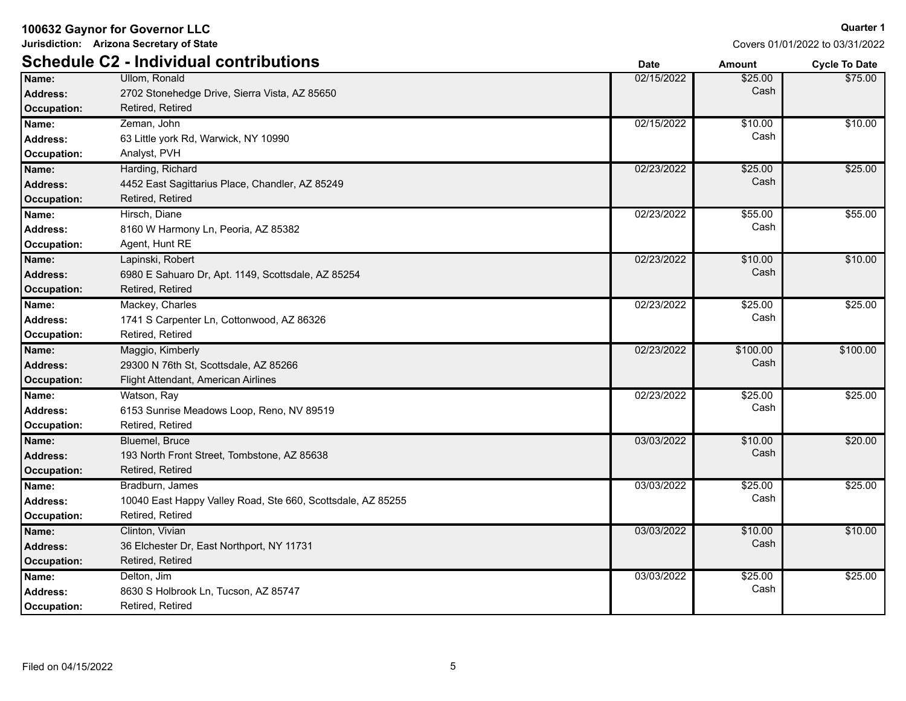**Jurisdiction: Arizona Secretary of State**

**Quarter 1**

|                 | <b>Schedule C2 - Individual contributions</b>               | <b>Date</b> | <b>Amount</b> | <b>Cycle To Date</b> |
|-----------------|-------------------------------------------------------------|-------------|---------------|----------------------|
| Name:           | Ullom. Ronald                                               | 02/15/2022  | \$25.00       | \$75.00              |
| <b>Address:</b> | 2702 Stonehedge Drive, Sierra Vista, AZ 85650               |             | Cash          |                      |
| Occupation:     | Retired, Retired                                            |             |               |                      |
| Name:           | Zeman, John                                                 | 02/15/2022  | \$10.00       | \$10.00              |
| Address:        | 63 Little york Rd, Warwick, NY 10990                        |             | Cash          |                      |
| Occupation:     | Analyst, PVH                                                |             |               |                      |
| Name:           | Harding, Richard                                            | 02/23/2022  | \$25.00       | \$25.00              |
| Address:        | 4452 East Sagittarius Place, Chandler, AZ 85249             |             | Cash          |                      |
| Occupation:     | Retired, Retired                                            |             |               |                      |
| Name:           | Hirsch, Diane                                               | 02/23/2022  | \$55.00       | \$55.00              |
| <b>Address:</b> | 8160 W Harmony Ln, Peoria, AZ 85382                         |             | Cash          |                      |
| Occupation:     | Agent, Hunt RE                                              |             |               |                      |
| Name:           | Lapinski, Robert                                            | 02/23/2022  | \$10.00       | \$10.00              |
| Address:        | 6980 E Sahuaro Dr, Apt. 1149, Scottsdale, AZ 85254          |             | Cash          |                      |
| Occupation:     | Retired, Retired                                            |             |               |                      |
| Name:           | Mackey, Charles                                             | 02/23/2022  | \$25.00       | \$25.00              |
| <b>Address:</b> | 1741 S Carpenter Ln, Cottonwood, AZ 86326                   |             | Cash          |                      |
| Occupation:     | Retired, Retired                                            |             |               |                      |
| Name:           | Maggio, Kimberly                                            | 02/23/2022  | \$100.00      | \$100.00             |
| Address:        | 29300 N 76th St, Scottsdale, AZ 85266                       |             | Cash          |                      |
| Occupation:     | Flight Attendant, American Airlines                         |             |               |                      |
| Name:           | Watson, Ray                                                 | 02/23/2022  | \$25.00       | \$25.00              |
| <b>Address:</b> | 6153 Sunrise Meadows Loop, Reno, NV 89519                   |             | Cash          |                      |
| Occupation:     | Retired, Retired                                            |             |               |                      |
| Name:           | Bluemel, Bruce                                              | 03/03/2022  | \$10.00       | \$20.00              |
| Address:        | 193 North Front Street, Tombstone, AZ 85638                 |             | Cash          |                      |
| Occupation:     | Retired, Retired                                            |             |               |                      |
| Name:           | Bradburn, James                                             | 03/03/2022  | \$25.00       | \$25.00              |
| <b>Address:</b> | 10040 East Happy Valley Road, Ste 660, Scottsdale, AZ 85255 |             | Cash          |                      |
| Occupation:     | Retired, Retired                                            |             |               |                      |
| Name:           | Clinton, Vivian                                             | 03/03/2022  | \$10.00       | \$10.00              |
| Address:        | 36 Elchester Dr, East Northport, NY 11731                   |             | Cash          |                      |
| Occupation:     | Retired, Retired                                            |             |               |                      |
| Name:           | Delton, Jim                                                 | 03/03/2022  | \$25.00       | \$25.00              |
| <b>Address:</b> | 8630 S Holbrook Ln, Tucson, AZ 85747                        |             | Cash          |                      |
| Occupation:     | Retired, Retired                                            |             |               |                      |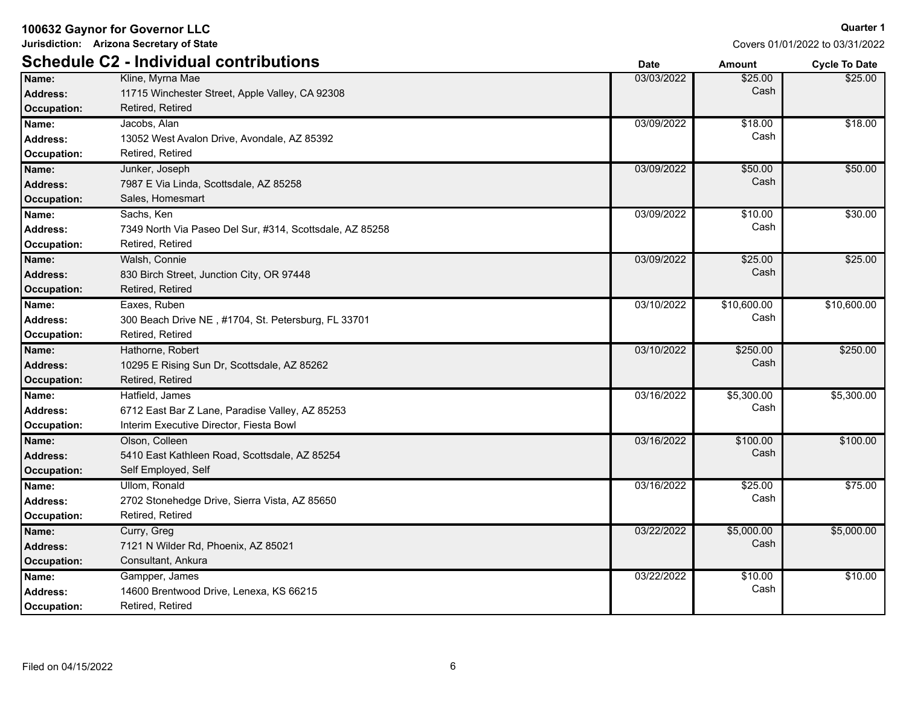**Jurisdiction: Arizona Secretary of State**

Covers 01/01/2022 to 03/31/2022

|                 | <b>Schedule C2 - Individual contributions</b>            | <b>Date</b> | <b>Amount</b> | <b>Cycle To Date</b> |
|-----------------|----------------------------------------------------------|-------------|---------------|----------------------|
| Name:           | Kline, Myrna Mae                                         | 03/03/2022  | \$25.00       | \$25.00              |
| Address:        | 11715 Winchester Street, Apple Valley, CA 92308          |             | Cash          |                      |
| Occupation:     | Retired, Retired                                         |             |               |                      |
| Name:           | Jacobs, Alan                                             | 03/09/2022  | \$18.00       | \$18.00              |
| Address:        | 13052 West Avalon Drive, Avondale, AZ 85392              |             | Cash          |                      |
| Occupation:     | Retired, Retired                                         |             |               |                      |
| Name:           | Junker, Joseph                                           | 03/09/2022  | \$50.00       | \$50.00              |
| Address:        | 7987 E Via Linda, Scottsdale, AZ 85258                   |             | Cash          |                      |
| Occupation:     | Sales, Homesmart                                         |             |               |                      |
| Name:           | Sachs, Ken                                               | 03/09/2022  | \$10.00       | \$30.00              |
| Address:        | 7349 North Via Paseo Del Sur, #314, Scottsdale, AZ 85258 |             | Cash          |                      |
| Occupation:     | Retired, Retired                                         |             |               |                      |
| Name:           | Walsh, Connie                                            | 03/09/2022  | \$25.00       | \$25.00              |
| Address:        | 830 Birch Street, Junction City, OR 97448                |             | Cash          |                      |
| Occupation:     | Retired, Retired                                         |             |               |                      |
| Name:           | Eaxes, Ruben                                             | 03/10/2022  | \$10,600.00   | \$10,600.00          |
| Address:        | 300 Beach Drive NE, #1704, St. Petersburg, FL 33701      |             | Cash          |                      |
| Occupation:     | Retired, Retired                                         |             |               |                      |
| Name:           | Hathorne, Robert                                         | 03/10/2022  | \$250.00      | \$250.00             |
| Address:        | 10295 E Rising Sun Dr, Scottsdale, AZ 85262              |             | Cash          |                      |
| Occupation:     | Retired, Retired                                         |             |               |                      |
| Name:           | Hatfield, James                                          | 03/16/2022  | \$5,300.00    | \$5,300.00           |
| <b>Address:</b> | 6712 East Bar Z Lane, Paradise Valley, AZ 85253          |             | Cash          |                      |
| Occupation:     | Interim Executive Director, Fiesta Bowl                  |             |               |                      |
| Name:           | Olson, Colleen                                           | 03/16/2022  | \$100.00      | \$100.00             |
| <b>Address:</b> | 5410 East Kathleen Road, Scottsdale, AZ 85254            |             | Cash          |                      |
| Occupation:     | Self Employed, Self                                      |             |               |                      |
| Name:           | Ullom, Ronald                                            | 03/16/2022  | \$25.00       | \$75.00              |
| Address:        | 2702 Stonehedge Drive, Sierra Vista, AZ 85650            |             | Cash          |                      |
| Occupation:     | Retired, Retired                                         |             |               |                      |
| Name:           | Curry, Greg                                              | 03/22/2022  | \$5,000.00    | \$5,000.00           |
| Address:        | 7121 N Wilder Rd, Phoenix, AZ 85021                      |             | Cash          |                      |
| Occupation:     | Consultant, Ankura                                       |             |               |                      |
| Name:           | Gampper, James                                           | 03/22/2022  | \$10.00       | \$10.00              |
| <b>Address:</b> | 14600 Brentwood Drive, Lenexa, KS 66215                  |             | Cash          |                      |
| Occupation:     | Retired, Retired                                         |             |               |                      |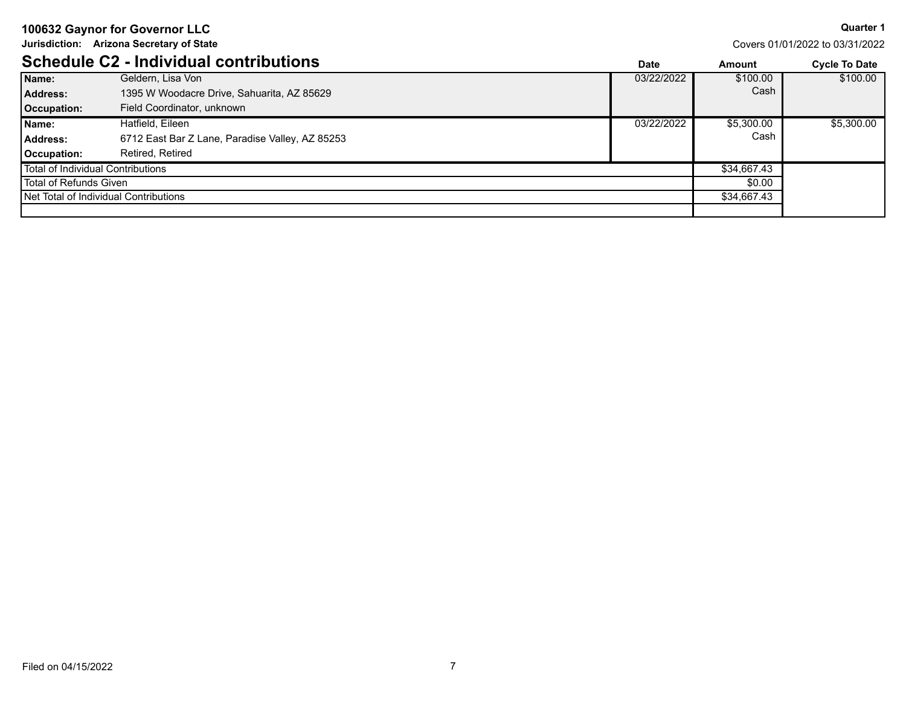**Jurisdiction: Arizona Secretary of State**

**Quarter 1** Covers 01/01/2022 to 03/31/2022

|                                   | Schedule C2 - Individual contributions          | Date       | Amount      | <b>Cycle To Date</b> |
|-----------------------------------|-------------------------------------------------|------------|-------------|----------------------|
| Name:                             | Geldern, Lisa Von                               | 03/22/2022 | \$100.00    | \$100.00             |
| Address:                          | 1395 W Woodacre Drive, Sahuarita, AZ 85629      |            | Cash        |                      |
| Occupation:                       | Field Coordinator, unknown                      |            |             |                      |
| Name:                             | Hatfield, Eileen                                | 03/22/2022 | \$5,300.00  | \$5,300,00           |
| <b>Address:</b>                   | 6712 East Bar Z Lane, Paradise Valley, AZ 85253 |            | Cash        |                      |
| Occupation:                       | Retired, Retired                                |            |             |                      |
| Total of Individual Contributions |                                                 |            | \$34,667.43 |                      |
| Total of Refunds Given            |                                                 |            | \$0.00      |                      |
|                                   | Net Total of Individual Contributions           |            | \$34,667.43 |                      |
|                                   |                                                 |            |             |                      |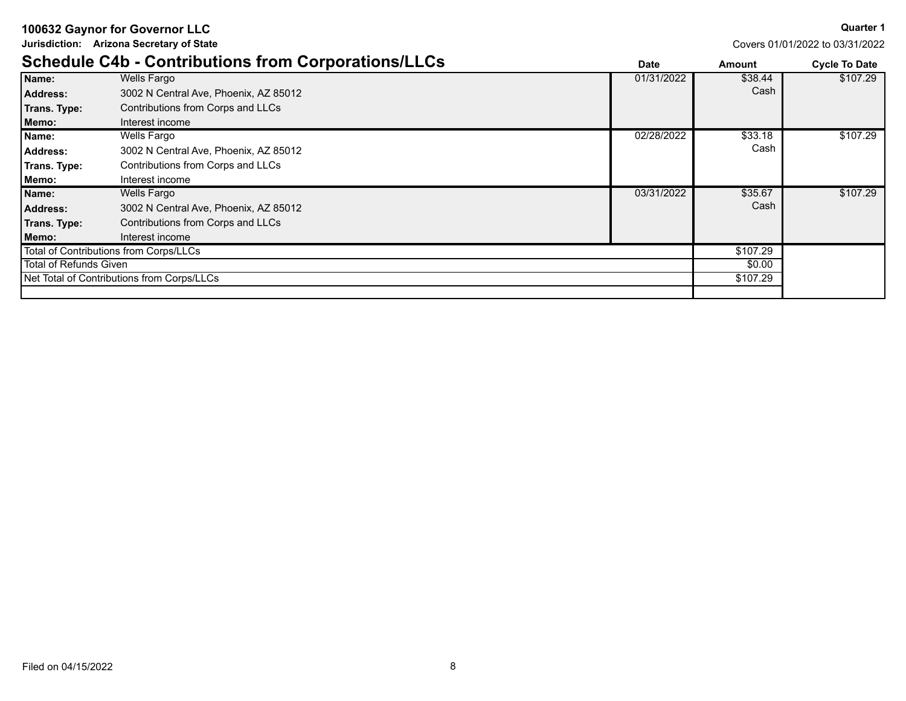**Jurisdiction: Arizona Secretary of State**

**Quarter 1**

|                        | <b>Schedule C4b - Contributions from Corporations/LLCs</b> |            |          | <b>Cycle To Date</b> |
|------------------------|------------------------------------------------------------|------------|----------|----------------------|
| Name:                  | Wells Fargo                                                | 01/31/2022 | \$38.44  | \$107.29             |
| <b>Address:</b>        | 3002 N Central Ave, Phoenix, AZ 85012                      |            | Cash     |                      |
| Trans. Type:           | Contributions from Corps and LLCs                          |            |          |                      |
| Memo:                  | Interest income                                            |            |          |                      |
| Name:                  | Wells Fargo                                                | 02/28/2022 | \$33.18  | \$107.29             |
| Address:               | 3002 N Central Ave, Phoenix, AZ 85012                      |            | Cash     |                      |
| Trans. Type:           | Contributions from Corps and LLCs                          |            |          |                      |
| Memo:                  | Interest income                                            |            |          |                      |
| Name:                  | <b>Wells Fargo</b>                                         | 03/31/2022 | \$35.67  | \$107.29             |
| <b>Address:</b>        | 3002 N Central Ave, Phoenix, AZ 85012                      |            | Cash     |                      |
| Trans. Type:           | Contributions from Corps and LLCs                          |            |          |                      |
| Memo:                  | Interest income                                            |            |          |                      |
|                        | Total of Contributions from Corps/LLCs                     |            | \$107.29 |                      |
| Total of Refunds Given |                                                            |            | \$0.00   |                      |
|                        | Net Total of Contributions from Corps/LLCs                 |            | \$107.29 |                      |
|                        |                                                            |            |          |                      |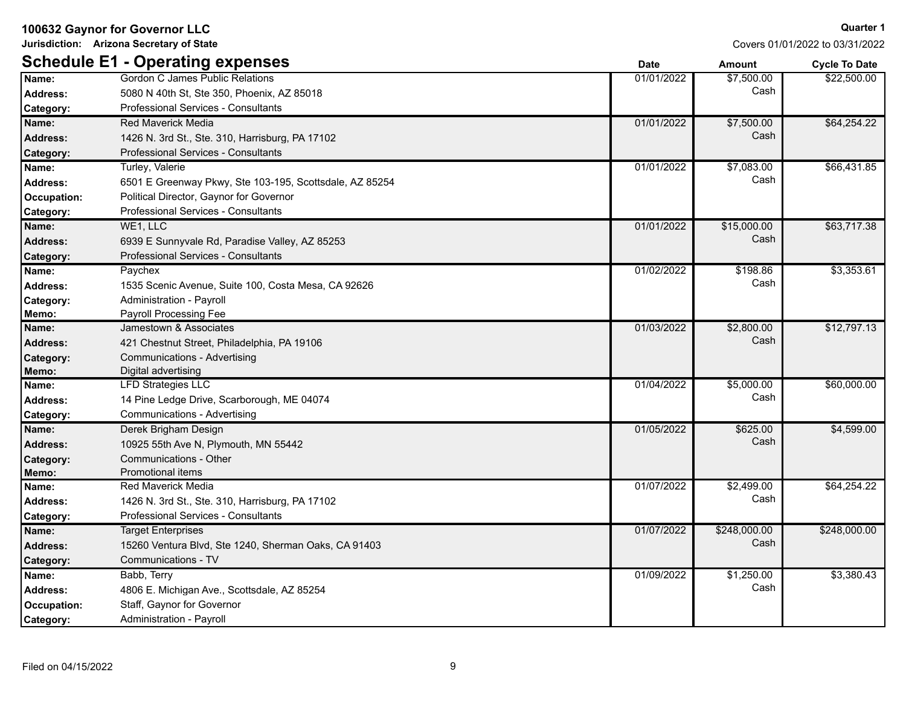**Jurisdiction: Arizona Secretary of State**

**Quarter 1**

|                 | <b>Schedule E1 - Operating expenses</b>                 | <b>Date</b> | <b>Amount</b>          | <b>Cycle To Date</b> |
|-----------------|---------------------------------------------------------|-------------|------------------------|----------------------|
| Name:           | Gordon C James Public Relations                         | 01/01/2022  | $\overline{$7,500.00}$ | \$22,500.00          |
| <b>Address:</b> | 5080 N 40th St, Ste 350, Phoenix, AZ 85018              |             | Cash                   |                      |
| Category:       | Professional Services - Consultants                     |             |                        |                      |
| Name:           | <b>Red Maverick Media</b>                               | 01/01/2022  | \$7,500.00             | \$64,254.22          |
| <b>Address:</b> | 1426 N. 3rd St., Ste. 310, Harrisburg, PA 17102         |             | Cash                   |                      |
| Category:       | <b>Professional Services - Consultants</b>              |             |                        |                      |
| Name:           | Turley, Valerie                                         | 01/01/2022  | \$7,083.00             | \$66,431.85          |
| <b>Address:</b> | 6501 E Greenway Pkwy, Ste 103-195, Scottsdale, AZ 85254 |             | Cash                   |                      |
| Occupation:     | Political Director, Gaynor for Governor                 |             |                        |                      |
| Category:       | Professional Services - Consultants                     |             |                        |                      |
| Name:           | WE1, LLC                                                | 01/01/2022  | \$15,000.00            | \$63,717.38          |
| <b>Address:</b> | 6939 E Sunnyvale Rd, Paradise Valley, AZ 85253          |             | Cash                   |                      |
| Category:       | <b>Professional Services - Consultants</b>              |             |                        |                      |
| Name:           | Paychex                                                 | 01/02/2022  | \$198.86               | \$3,353.61           |
| <b>Address:</b> | 1535 Scenic Avenue, Suite 100, Costa Mesa, CA 92626     |             | Cash                   |                      |
| Category:       | Administration - Payroll                                |             |                        |                      |
| Memo:           | Payroll Processing Fee                                  |             |                        |                      |
| Name:           | Jamestown & Associates                                  | 01/03/2022  | \$2,800.00             | \$12,797.13          |
| <b>Address:</b> | 421 Chestnut Street, Philadelphia, PA 19106             |             | Cash                   |                      |
| Category:       | <b>Communications - Advertising</b>                     |             |                        |                      |
| Memo:           | Digital advertising                                     |             |                        |                      |
| Name:           | <b>LFD Strategies LLC</b>                               | 01/04/2022  | \$5,000.00             | \$60,000.00          |
| <b>Address:</b> | 14 Pine Ledge Drive, Scarborough, ME 04074              |             | Cash                   |                      |
| Category:       | Communications - Advertising                            |             |                        |                      |
| Name:           | Derek Brigham Design                                    | 01/05/2022  | \$625.00               | \$4,599.00           |
| <b>Address:</b> | 10925 55th Ave N, Plymouth, MN 55442                    |             | Cash                   |                      |
| Category:       | Communications - Other                                  |             |                        |                      |
| Memo:           | Promotional items                                       |             |                        |                      |
| Name:           | Red Maverick Media                                      | 01/07/2022  | \$2,499.00             | \$64,254.22          |
| <b>Address:</b> | 1426 N. 3rd St., Ste. 310, Harrisburg, PA 17102         |             | Cash                   |                      |
| Category:       | Professional Services - Consultants                     |             |                        |                      |
| Name:           | Target Enterprises                                      | 01/07/2022  | \$248,000.00           | \$248,000.00         |
| Address:        | 15260 Ventura Blvd, Ste 1240, Sherman Oaks, CA 91403    |             | Cash                   |                      |
| Category:       | Communications - TV                                     |             |                        |                      |
| Name:           | Babb, Terry                                             | 01/09/2022  | \$1,250.00             | \$3,380.43           |
| <b>Address:</b> | 4806 E. Michigan Ave., Scottsdale, AZ 85254             |             | Cash                   |                      |
| Occupation:     | Staff, Gaynor for Governor                              |             |                        |                      |
| Category:       | Administration - Payroll                                |             |                        |                      |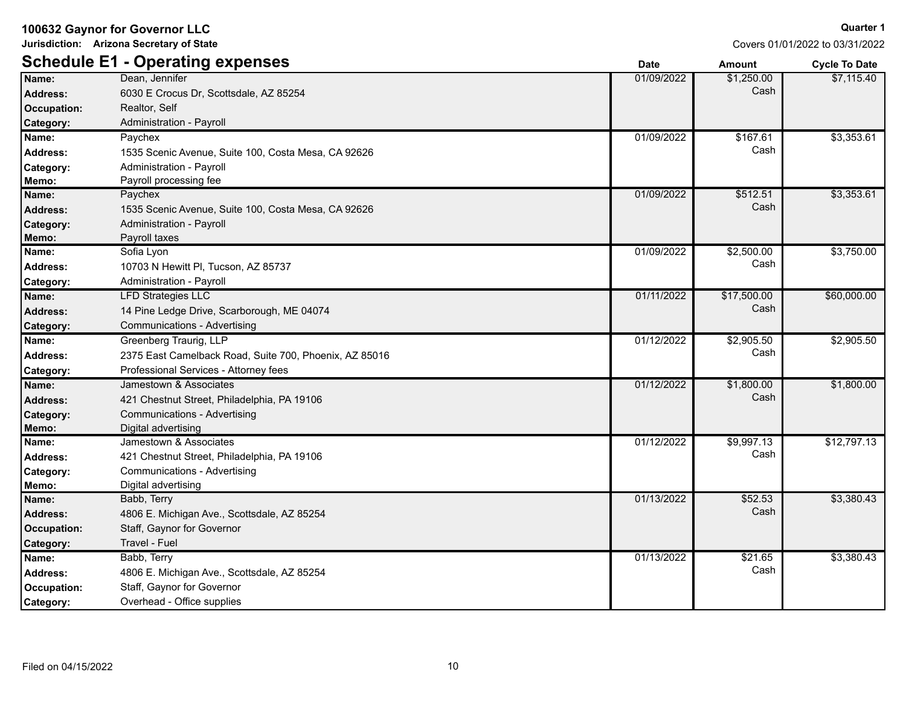**Jurisdiction: Arizona Secretary of State**

**Quarter 1**

|                    | <b>Schedule E1 - Operating expenses</b>                | <b>Date</b> | <b>Amount</b> | <b>Cycle To Date</b> |
|--------------------|--------------------------------------------------------|-------------|---------------|----------------------|
| Name:              | Dean, Jennifer                                         | 01/09/2022  | \$1,250.00    | \$7,115.40           |
| Address:           | 6030 E Crocus Dr, Scottsdale, AZ 85254                 |             | Cash          |                      |
| Occupation:        | Realtor, Self                                          |             |               |                      |
| Category:          | Administration - Payroll                               |             |               |                      |
| Name:              | Paychex                                                | 01/09/2022  | \$167.61      | \$3,353.61           |
| <b>Address:</b>    | 1535 Scenic Avenue, Suite 100, Costa Mesa, CA 92626    |             | Cash          |                      |
| Category:          | Administration - Payroll                               |             |               |                      |
| Memo:              | Payroll processing fee                                 |             |               |                      |
| Name:              | Paychex                                                | 01/09/2022  | \$512.51      | \$3,353.61           |
| <b>Address:</b>    | 1535 Scenic Avenue, Suite 100, Costa Mesa, CA 92626    |             | Cash          |                      |
| Category:          | Administration - Payroll                               |             |               |                      |
| Memo:              | Payroll taxes                                          |             |               |                      |
| Name:              | Sofia Lyon                                             | 01/09/2022  | \$2,500.00    | \$3,750.00           |
| Address:           | 10703 N Hewitt PI, Tucson, AZ 85737                    |             | Cash          |                      |
| Category:          | Administration - Payroll                               |             |               |                      |
| Name:              | <b>LFD Strategies LLC</b>                              | 01/11/2022  | \$17,500.00   | \$60,000.00          |
| <b>Address:</b>    | 14 Pine Ledge Drive, Scarborough, ME 04074             |             | Cash          |                      |
| Category:          | Communications - Advertising                           |             |               |                      |
| Name:              | Greenberg Traurig, LLP                                 | 01/12/2022  | \$2,905.50    | \$2,905.50           |
| <b>Address:</b>    | 2375 East Camelback Road, Suite 700, Phoenix, AZ 85016 |             | Cash          |                      |
| Category:          | Professional Services - Attorney fees                  |             |               |                      |
| Name:              | Jamestown & Associates                                 | 01/12/2022  | \$1,800.00    | \$1,800.00           |
| <b>Address:</b>    | 421 Chestnut Street, Philadelphia, PA 19106            |             | Cash          |                      |
| Category:          | Communications - Advertising                           |             |               |                      |
| Memo:              | Digital advertising                                    |             |               |                      |
| Name:              | Jamestown & Associates                                 | 01/12/2022  | \$9,997.13    | \$12,797.13          |
| <b>Address:</b>    | 421 Chestnut Street, Philadelphia, PA 19106            |             | Cash          |                      |
| Category:          | Communications - Advertising                           |             |               |                      |
| Memo:              | Digital advertising                                    |             |               |                      |
| Name:              | Babb, Terry                                            | 01/13/2022  | \$52.53       | \$3,380.43           |
| <b>Address:</b>    | 4806 E. Michigan Ave., Scottsdale, AZ 85254            |             | Cash          |                      |
| Occupation:        | Staff, Gaynor for Governor                             |             |               |                      |
| Category:          | Travel - Fuel                                          |             |               |                      |
| Name:              | Babb, Terry                                            | 01/13/2022  | \$21.65       | \$3,380.43           |
| Address:           | 4806 E. Michigan Ave., Scottsdale, AZ 85254            |             | Cash          |                      |
| <b>Occupation:</b> | Staff, Gaynor for Governor                             |             |               |                      |
| Category:          | Overhead - Office supplies                             |             |               |                      |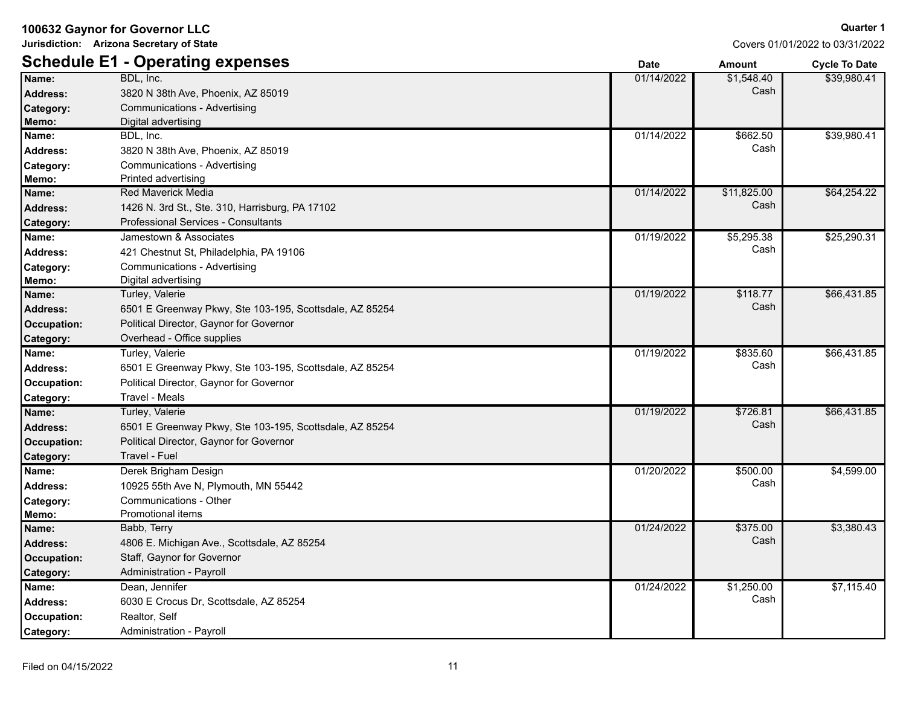**Jurisdiction: Arizona Secretary of State**

|                    | <b>Schedule E1 - Operating expenses</b>                 | <b>Date</b> | <b>Amount</b> | <b>Cycle To Date</b> |
|--------------------|---------------------------------------------------------|-------------|---------------|----------------------|
| Name:              | BDL, Inc.                                               | 01/14/2022  | \$1,548.40    | \$39,980.41          |
| <b>Address:</b>    | 3820 N 38th Ave, Phoenix, AZ 85019                      |             | Cash          |                      |
| Category:          | Communications - Advertising                            |             |               |                      |
| Memo:              | Digital advertising                                     |             |               |                      |
| Name:              | BDL, Inc.                                               | 01/14/2022  | \$662.50      | \$39,980.41          |
| <b>Address:</b>    | 3820 N 38th Ave, Phoenix, AZ 85019                      |             | Cash          |                      |
| Category:          | Communications - Advertising                            |             |               |                      |
| Memo:              | Printed advertising                                     |             |               |                      |
| Name:              | <b>Red Maverick Media</b>                               | 01/14/2022  | \$11,825.00   | \$64,254.22          |
| <b>Address:</b>    | 1426 N. 3rd St., Ste. 310, Harrisburg, PA 17102         |             | Cash          |                      |
| Category:          | <b>Professional Services - Consultants</b>              |             |               |                      |
| Name:              | Jamestown & Associates                                  | 01/19/2022  | \$5,295.38    | \$25,290.31          |
| <b>Address:</b>    | 421 Chestnut St, Philadelphia, PA 19106                 |             | Cash          |                      |
| Category:          | Communications - Advertising                            |             |               |                      |
| Memo:              | Digital advertising                                     |             |               |                      |
| Name:              | Turley, Valerie                                         | 01/19/2022  | \$118.77      | \$66,431.85          |
| <b>Address:</b>    | 6501 E Greenway Pkwy, Ste 103-195, Scottsdale, AZ 85254 |             | Cash          |                      |
| <b>Occupation:</b> | Political Director, Gaynor for Governor                 |             |               |                      |
| Category:          | Overhead - Office supplies                              |             |               |                      |
| Name:              | Turley, Valerie                                         | 01/19/2022  | \$835.60      | \$66,431.85          |
| <b>Address:</b>    | 6501 E Greenway Pkwy, Ste 103-195, Scottsdale, AZ 85254 |             | Cash          |                      |
| Occupation:        | Political Director, Gaynor for Governor                 |             |               |                      |
| Category:          | Travel - Meals                                          |             |               |                      |
| Name:              | Turley, Valerie                                         | 01/19/2022  | \$726.81      | \$66,431.85          |
| <b>Address:</b>    | 6501 E Greenway Pkwy, Ste 103-195, Scottsdale, AZ 85254 |             | Cash          |                      |
| <b>Occupation:</b> | Political Director, Gaynor for Governor                 |             |               |                      |
| Category:          | Travel - Fuel                                           |             |               |                      |
| Name:              | Derek Brigham Design                                    | 01/20/2022  | \$500.00      | \$4,599.00           |
| <b>Address:</b>    | 10925 55th Ave N, Plymouth, MN 55442                    |             | Cash          |                      |
| Category:          | <b>Communications - Other</b>                           |             |               |                      |
| Memo:              | Promotional items                                       |             |               |                      |
| Name:              | Babb, Terry                                             | 01/24/2022  | \$375.00      | \$3,380.43           |
| <b>Address:</b>    | 4806 E. Michigan Ave., Scottsdale, AZ 85254             |             | Cash          |                      |
| <b>Occupation:</b> | Staff, Gaynor for Governor                              |             |               |                      |
| Category:          | Administration - Payroll                                |             |               |                      |
| Name:              | Dean, Jennifer                                          | 01/24/2022  | \$1,250.00    | \$7,115.40           |
| <b>Address:</b>    | 6030 E Crocus Dr, Scottsdale, AZ 85254                  |             | Cash          |                      |
| Occupation:        | Realtor, Self                                           |             |               |                      |
| Category:          | Administration - Payroll                                |             |               |                      |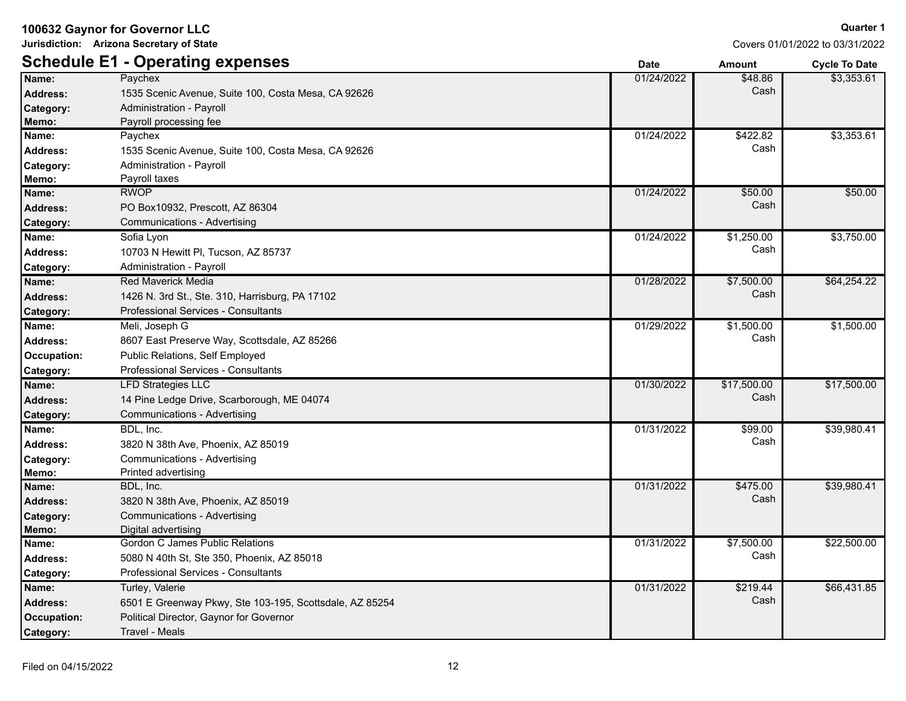**Jurisdiction: Arizona Secretary of State**

# **Schedule E1 - Operating expenses Date Amount Cycle To Date**

Covers 01/01/2022 to 03/31/2022

|                    | Schedule E1 - Operating expenses                        | <b>Date</b> | <b>Amount</b> | <b>Cycle To Date</b> |
|--------------------|---------------------------------------------------------|-------------|---------------|----------------------|
| Name:              | Paychex                                                 | 01/24/2022  | \$48.86       | \$3,353.61           |
| <b>Address:</b>    | 1535 Scenic Avenue, Suite 100, Costa Mesa, CA 92626     |             | Cash          |                      |
| Category:          | Administration - Payroll                                |             |               |                      |
| Memo:              | Payroll processing fee                                  |             |               |                      |
| Name:              | Paychex                                                 | 01/24/2022  | \$422.82      | \$3,353.61           |
| <b>Address:</b>    | 1535 Scenic Avenue, Suite 100, Costa Mesa, CA 92626     |             | Cash          |                      |
| Category:          | Administration - Payroll                                |             |               |                      |
| Memo:              | Payroll taxes                                           |             |               |                      |
| Name:              | <b>RWOP</b>                                             | 01/24/2022  | \$50.00       | \$50.00              |
| <b>Address:</b>    | PO Box10932, Prescott, AZ 86304                         |             | Cash          |                      |
| Category:          | Communications - Advertising                            |             |               |                      |
| Name:              | Sofia Lyon                                              | 01/24/2022  | \$1,250.00    | \$3,750.00           |
| <b>Address:</b>    | 10703 N Hewitt PI, Tucson, AZ 85737                     |             | Cash          |                      |
| Category:          | Administration - Payroll                                |             |               |                      |
| Name:              | Red Maverick Media                                      | 01/28/2022  | \$7,500.00    | \$64,254.22          |
| <b>Address:</b>    | 1426 N. 3rd St., Ste. 310, Harrisburg, PA 17102         |             | Cash          |                      |
| Category:          | <b>Professional Services - Consultants</b>              |             |               |                      |
| Name:              | Meli, Joseph G                                          | 01/29/2022  | \$1,500.00    | \$1,500.00           |
| <b>Address:</b>    | 8607 East Preserve Way, Scottsdale, AZ 85266            |             | Cash          |                      |
| Occupation:        | Public Relations, Self Employed                         |             |               |                      |
| Category:          | <b>Professional Services - Consultants</b>              |             |               |                      |
| Name:              | <b>LFD Strategies LLC</b>                               | 01/30/2022  | \$17,500.00   | \$17,500.00          |
| <b>Address:</b>    | 14 Pine Ledge Drive, Scarborough, ME 04074              |             | Cash          |                      |
| Category:          | Communications - Advertising                            |             |               |                      |
| Name:              | BDL, Inc.                                               | 01/31/2022  | \$99.00       | \$39,980.41          |
| <b>Address:</b>    | 3820 N 38th Ave, Phoenix, AZ 85019                      |             | Cash          |                      |
| Category:          | Communications - Advertising                            |             |               |                      |
| Memo:              | Printed advertising                                     |             |               |                      |
| Name:              | BDL, Inc.                                               | 01/31/2022  | \$475.00      | \$39,980.41          |
| <b>Address:</b>    | 3820 N 38th Ave, Phoenix, AZ 85019                      |             | Cash          |                      |
| Category:          | Communications - Advertising                            |             |               |                      |
| Memo:              | Digital advertising                                     |             |               |                      |
| Name:              | Gordon C James Public Relations                         | 01/31/2022  | \$7,500.00    | \$22,500.00          |
| <b>Address:</b>    | 5080 N 40th St, Ste 350, Phoenix, AZ 85018              |             | Cash          |                      |
| Category:          | Professional Services - Consultants                     |             |               |                      |
| Name:              | Turley, Valerie                                         | 01/31/2022  | \$219.44      | \$66,431.85          |
| <b>Address:</b>    | 6501 E Greenway Pkwy, Ste 103-195, Scottsdale, AZ 85254 |             | Cash          |                      |
| <b>Occupation:</b> | Political Director, Gaynor for Governor                 |             |               |                      |
| Category:          | Travel - Meals                                          |             |               |                      |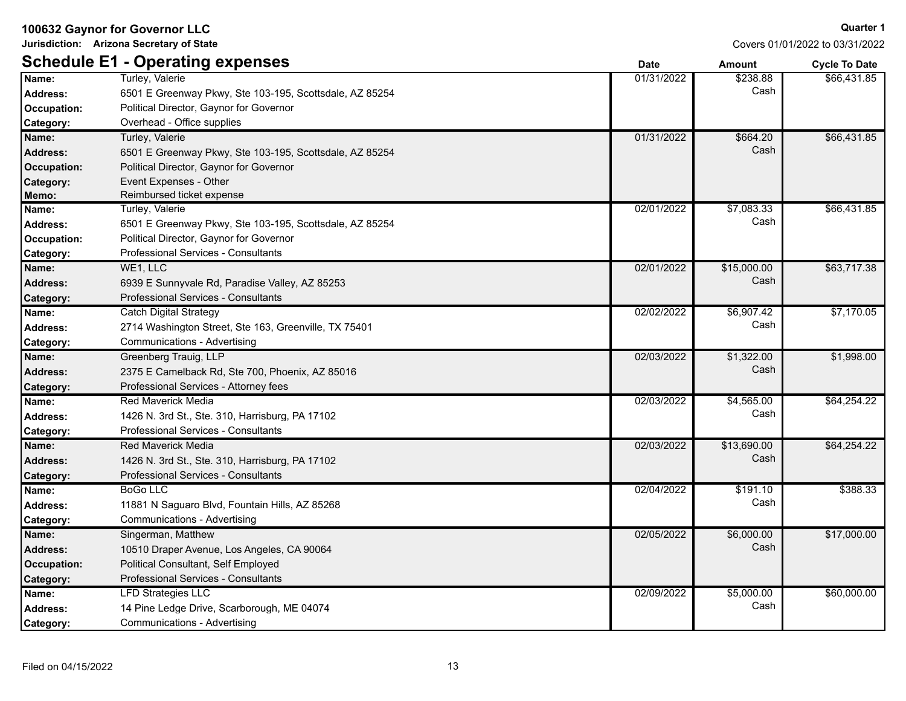**Jurisdiction: Arizona Secretary of State**

#### **Quarter 1**

|                  | <b>Schedule E1 - Operating expenses</b>                 | <b>Date</b> | <b>Amount</b>        | <b>Cycle To Date</b> |
|------------------|---------------------------------------------------------|-------------|----------------------|----------------------|
| Name:            | Turley, Valerie                                         | 01/31/2022  | $\overline{$}238.88$ | \$66,431.85          |
| <b>Address:</b>  | 6501 E Greenway Pkwy, Ste 103-195, Scottsdale, AZ 85254 |             | Cash                 |                      |
| Occupation:      | Political Director, Gaynor for Governor                 |             |                      |                      |
| Category:        | Overhead - Office supplies                              |             |                      |                      |
| Name:            | Turley, Valerie                                         | 01/31/2022  | \$664.20             | \$66,431.85          |
| <b>Address:</b>  | 6501 E Greenway Pkwy, Ste 103-195, Scottsdale, AZ 85254 |             | Cash                 |                      |
| Occupation:      | Political Director, Gaynor for Governor                 |             |                      |                      |
| Category:        | Event Expenses - Other                                  |             |                      |                      |
| Memo:            | Reimbursed ticket expense                               |             |                      |                      |
| Name:            | Turley, Valerie                                         | 02/01/2022  | \$7,083.33           | \$66,431.85          |
| <b>Address:</b>  | 6501 E Greenway Pkwy, Ste 103-195, Scottsdale, AZ 85254 |             | Cash                 |                      |
| Occupation:      | Political Director, Gaynor for Governor                 |             |                      |                      |
| Category:        | <b>Professional Services - Consultants</b>              |             |                      |                      |
| Name:            | WE1, LLC                                                | 02/01/2022  | \$15,000.00          | \$63,717.38          |
| <b>Address:</b>  | 6939 E Sunnyvale Rd, Paradise Valley, AZ 85253          |             | Cash                 |                      |
| <b>Category:</b> | Professional Services - Consultants                     |             |                      |                      |
| Name:            | <b>Catch Digital Strategy</b>                           | 02/02/2022  | \$6,907.42           | \$7,170.05           |
| Address:         | 2714 Washington Street, Ste 163, Greenville, TX 75401   |             | Cash                 |                      |
| Category:        | Communications - Advertising                            |             |                      |                      |
| Name:            | Greenberg Trauig, LLP                                   | 02/03/2022  | \$1,322.00           | \$1,998.00           |
| <b>Address:</b>  | 2375 E Camelback Rd, Ste 700, Phoenix, AZ 85016         |             | Cash                 |                      |
| Category:        | Professional Services - Attorney fees                   |             |                      |                      |
| Name:            | Red Maverick Media                                      | 02/03/2022  | \$4,565.00           | \$64,254.22          |
| <b>Address:</b>  | 1426 N. 3rd St., Ste. 310, Harrisburg, PA 17102         |             | Cash                 |                      |
| Category:        | Professional Services - Consultants                     |             |                      |                      |
| Name:            | <b>Red Maverick Media</b>                               | 02/03/2022  | \$13,690.00          | \$64,254.22          |
| <b>Address:</b>  | 1426 N. 3rd St., Ste. 310, Harrisburg, PA 17102         |             | Cash                 |                      |
| Category:        | Professional Services - Consultants                     |             |                      |                      |
| Name:            | <b>BoGo LLC</b>                                         | 02/04/2022  | \$191.10             | \$388.33             |
| <b>Address:</b>  | 11881 N Saguaro Blvd, Fountain Hills, AZ 85268          |             | Cash                 |                      |
| Category:        | Communications - Advertising                            |             |                      |                      |
| Name:            | Singerman, Matthew                                      | 02/05/2022  | \$6,000.00           | \$17,000.00          |
| <b>Address:</b>  | 10510 Draper Avenue, Los Angeles, CA 90064              |             | Cash                 |                      |
| Occupation:      | Political Consultant, Self Employed                     |             |                      |                      |
| Category:        | Professional Services - Consultants                     |             |                      |                      |
| Name:            | <b>LFD Strategies LLC</b>                               | 02/09/2022  | \$5,000.00           | \$60,000.00          |
| <b>Address:</b>  | 14 Pine Ledge Drive, Scarborough, ME 04074              |             | Cash                 |                      |
| Category:        | Communications - Advertising                            |             |                      |                      |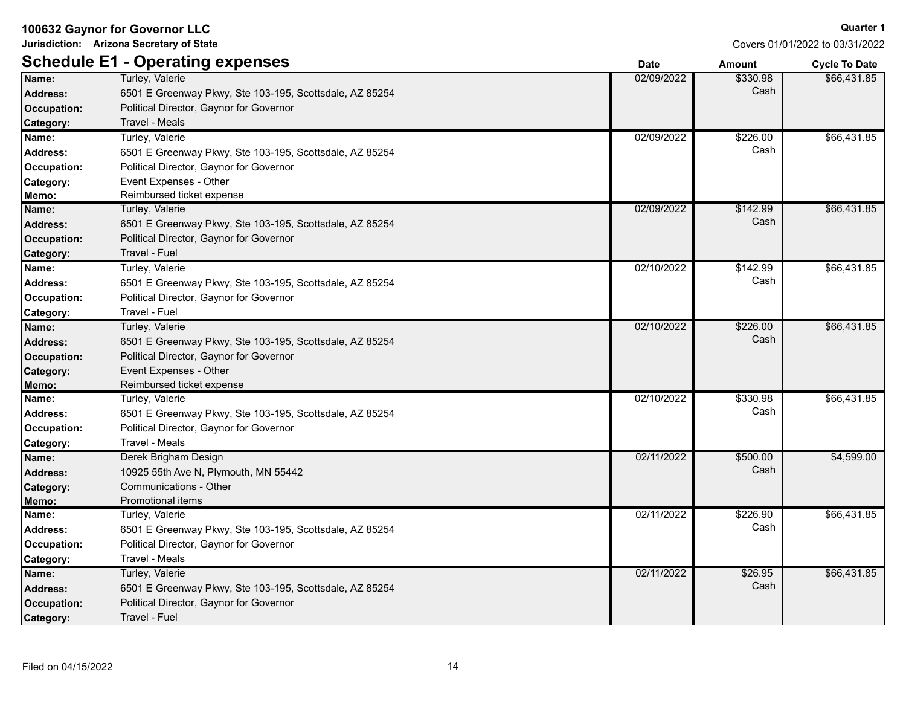**Jurisdiction: Arizona Secretary of State**

# **Schedule E1 Aperating expenses**

Covers 01/01/2022 to 03/31/2022

|                    | Schedule E1 - Operating expenses                        | <b>Date</b> | <b>Amount</b> | <b>Cycle To Date</b> |
|--------------------|---------------------------------------------------------|-------------|---------------|----------------------|
| Name:              | Turley, Valerie                                         | 02/09/2022  | \$330.98      | \$66,431.85          |
| <b>Address:</b>    | 6501 E Greenway Pkwy, Ste 103-195, Scottsdale, AZ 85254 |             | Cash          |                      |
| <b>Occupation:</b> | Political Director, Gaynor for Governor                 |             |               |                      |
| Category:          | <b>Travel - Meals</b>                                   |             |               |                      |
| Name:              | Turley, Valerie                                         | 02/09/2022  | \$226.00      | \$66,431.85          |
| <b>Address:</b>    | 6501 E Greenway Pkwy, Ste 103-195, Scottsdale, AZ 85254 |             | Cash          |                      |
| Occupation:        | Political Director, Gaynor for Governor                 |             |               |                      |
| Category:          | Event Expenses - Other                                  |             |               |                      |
| Memo:              | Reimbursed ticket expense                               |             |               |                      |
| Name:              | Turley, Valerie                                         | 02/09/2022  | \$142.99      | \$66,431.85          |
| Address:           | 6501 E Greenway Pkwy, Ste 103-195, Scottsdale, AZ 85254 |             | Cash          |                      |
| Occupation:        | Political Director, Gaynor for Governor                 |             |               |                      |
| Category:          | Travel - Fuel                                           |             |               |                      |
| Name:              | Turley, Valerie                                         | 02/10/2022  | \$142.99      | \$66,431.85          |
| <b>Address:</b>    | 6501 E Greenway Pkwy, Ste 103-195, Scottsdale, AZ 85254 |             | Cash          |                      |
| Occupation:        | Political Director, Gaynor for Governor                 |             |               |                      |
| Category:          | Travel - Fuel                                           |             |               |                      |
| Name:              | Turley, Valerie                                         | 02/10/2022  | \$226.00      | \$66,431.85          |
| <b>Address:</b>    | 6501 E Greenway Pkwy, Ste 103-195, Scottsdale, AZ 85254 |             | Cash          |                      |
| Occupation:        | Political Director, Gaynor for Governor                 |             |               |                      |
| Category:          | Event Expenses - Other                                  |             |               |                      |
| Memo:              | Reimbursed ticket expense                               |             |               |                      |
| Name:              | Turley, Valerie                                         | 02/10/2022  | \$330.98      | \$66,431.85          |
| <b>Address:</b>    | 6501 E Greenway Pkwy, Ste 103-195, Scottsdale, AZ 85254 |             | Cash          |                      |
| Occupation:        | Political Director, Gaynor for Governor                 |             |               |                      |
| Category:          | Travel - Meals                                          |             |               |                      |
| Name:              | Derek Brigham Design                                    | 02/11/2022  | \$500.00      | \$4,599.00           |
| <b>Address:</b>    | 10925 55th Ave N, Plymouth, MN 55442                    |             | Cash          |                      |
| Category:          | Communications - Other                                  |             |               |                      |
| Memo:              | Promotional items                                       |             |               |                      |
| Name:              | Turley, Valerie                                         | 02/11/2022  | \$226.90      | \$66,431.85          |
| Address:           | 6501 E Greenway Pkwy, Ste 103-195, Scottsdale, AZ 85254 |             | Cash          |                      |
| Occupation:        | Political Director, Gaynor for Governor                 |             |               |                      |
| Category:          | Travel - Meals                                          |             |               |                      |
| Name:              | Turley, Valerie                                         | 02/11/2022  | \$26.95       | \$66,431.85          |
| <b>Address:</b>    | 6501 E Greenway Pkwy, Ste 103-195, Scottsdale, AZ 85254 |             | Cash          |                      |
| <b>Occupation:</b> | Political Director, Gaynor for Governor                 |             |               |                      |
| Category:          | <b>Travel - Fuel</b>                                    |             |               |                      |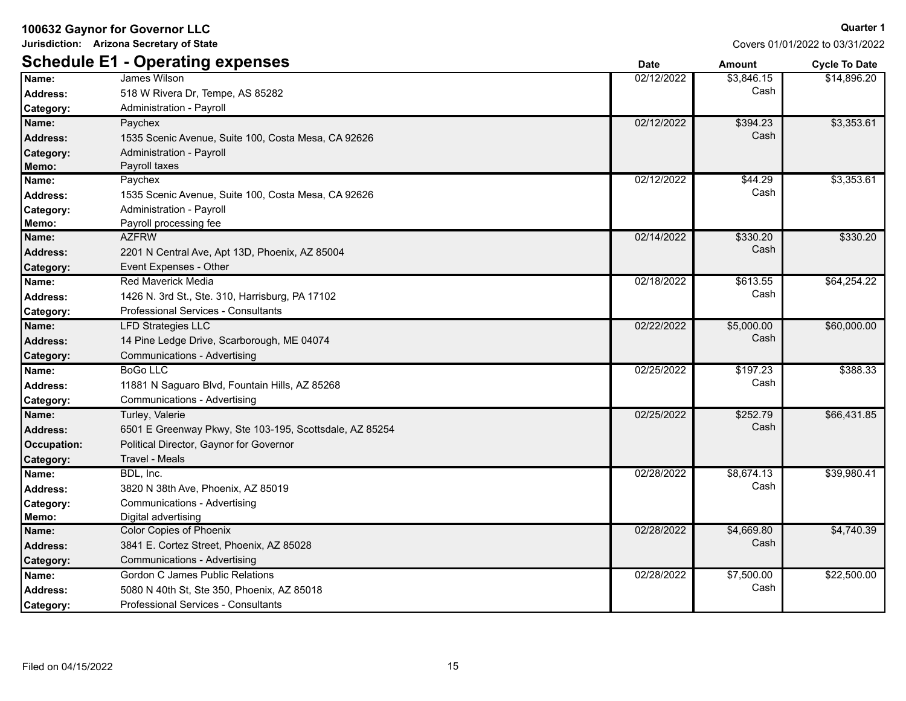**Jurisdiction: Arizona Secretary of State**

**Quarter 1** Covers 01/01/2022 to 03/31/2022

|                    | <b>Schedule E1 - Operating expenses</b>                 | <b>Date</b> | <b>Amount</b> | <b>Cycle To Date</b> |
|--------------------|---------------------------------------------------------|-------------|---------------|----------------------|
| Name:              | <b>James Wilson</b>                                     | 02/12/2022  | \$3,846.15    | \$14,896.20          |
| <b>Address:</b>    | 518 W Rivera Dr, Tempe, AS 85282                        |             | Cash          |                      |
| Category:          | Administration - Payroll                                |             |               |                      |
| Name:              | Paychex                                                 | 02/12/2022  | \$394.23      | \$3,353.61           |
| <b>Address:</b>    | 1535 Scenic Avenue, Suite 100, Costa Mesa, CA 92626     |             | Cash          |                      |
| Category:          | <b>Administration - Payroll</b>                         |             |               |                      |
| Memo:              | Payroll taxes                                           |             |               |                      |
| Name:              | Paychex                                                 | 02/12/2022  | \$44.29       | \$3,353.61           |
| Address:           | 1535 Scenic Avenue, Suite 100, Costa Mesa, CA 92626     |             | Cash          |                      |
| Category:          | <b>Administration - Payroll</b>                         |             |               |                      |
| Memo:              | Payroll processing fee                                  |             |               |                      |
| Name:              | <b>AZFRW</b>                                            | 02/14/2022  | \$330.20      | \$330.20             |
| <b>Address:</b>    | 2201 N Central Ave, Apt 13D, Phoenix, AZ 85004          |             | Cash          |                      |
| Category:          | Event Expenses - Other                                  |             |               |                      |
| Name:              | <b>Red Maverick Media</b>                               | 02/18/2022  | \$613.55      | \$64,254.22          |
| Address:           | 1426 N. 3rd St., Ste. 310, Harrisburg, PA 17102         |             | Cash          |                      |
| Category:          | Professional Services - Consultants                     |             |               |                      |
| Name:              | <b>LFD Strategies LLC</b>                               | 02/22/2022  | \$5,000.00    | \$60,000.00          |
| <b>Address:</b>    | 14 Pine Ledge Drive, Scarborough, ME 04074              |             | Cash          |                      |
| Category:          | <b>Communications - Advertising</b>                     |             |               |                      |
| Name:              | <b>BoGo LLC</b>                                         | 02/25/2022  | \$197.23      | \$388.33             |
| Address:           | 11881 N Saguaro Blvd, Fountain Hills, AZ 85268          |             | Cash          |                      |
| Category:          | Communications - Advertising                            |             |               |                      |
| Name:              | Turley, Valerie                                         | 02/25/2022  | \$252.79      | \$66,431.85          |
| <b>Address:</b>    | 6501 E Greenway Pkwy, Ste 103-195, Scottsdale, AZ 85254 |             | Cash          |                      |
| <b>Occupation:</b> | Political Director, Gaynor for Governor                 |             |               |                      |
| Category:          | Travel - Meals                                          |             |               |                      |
| Name:              | BDL, Inc.                                               | 02/28/2022  | \$8,674.13    | \$39,980.41          |
| Address:           | 3820 N 38th Ave, Phoenix, AZ 85019                      |             | Cash          |                      |
| Category:          | <b>Communications - Advertising</b>                     |             |               |                      |
| Memo:              | Digital advertising                                     |             |               |                      |
| Name:              | <b>Color Copies of Phoenix</b>                          | 02/28/2022  | \$4,669.80    | \$4,740.39           |
| <b>Address:</b>    | 3841 E. Cortez Street, Phoenix, AZ 85028                |             | Cash          |                      |
| Category:          | <b>Communications - Advertising</b>                     |             |               |                      |
| Name:              | Gordon C James Public Relations                         | 02/28/2022  | \$7,500.00    | \$22,500.00          |
| <b>Address:</b>    | 5080 N 40th St, Ste 350, Phoenix, AZ 85018              |             | Cash          |                      |
| Category:          | <b>Professional Services - Consultants</b>              |             |               |                      |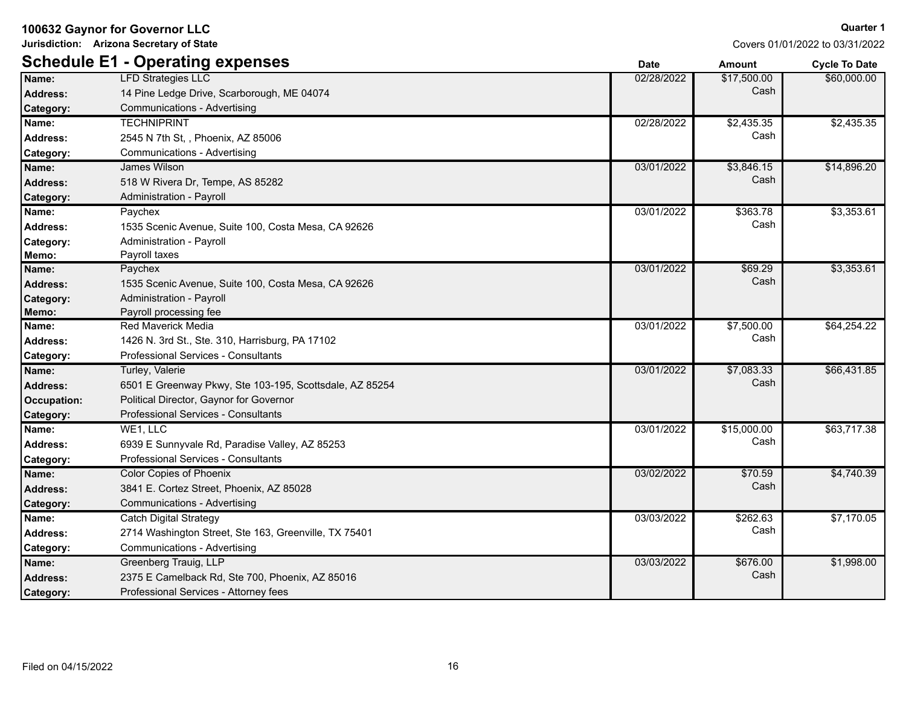**Jurisdiction: Arizona Secretary of State**

|                 | <b>Schedule E1 - Operating expenses</b>                 | <b>Date</b> | <b>Amount</b> | <b>Cycle To Date</b> |
|-----------------|---------------------------------------------------------|-------------|---------------|----------------------|
| Name:           | <b>LFD Strategies LLC</b>                               | 02/28/2022  | \$17,500.00   | \$60,000.00          |
| <b>Address:</b> | 14 Pine Ledge Drive, Scarborough, ME 04074              |             | Cash          |                      |
| Category:       | <b>Communications - Advertising</b>                     |             |               |                      |
| Name:           | <b>TECHNIPRINT</b>                                      | 02/28/2022  | \$2,435.35    | \$2,435.35           |
| Address:        | 2545 N 7th St, , Phoenix, AZ 85006                      |             | Cash          |                      |
| Category:       | Communications - Advertising                            |             |               |                      |
| Name:           | James Wilson                                            | 03/01/2022  | \$3,846.15    | \$14,896.20          |
| <b>Address:</b> | 518 W Rivera Dr, Tempe, AS 85282                        |             | Cash          |                      |
| Category:       | Administration - Payroll                                |             |               |                      |
| Name:           | Paychex                                                 | 03/01/2022  | \$363.78      | \$3,353.61           |
| Address:        | 1535 Scenic Avenue, Suite 100, Costa Mesa, CA 92626     |             | Cash          |                      |
| Category:       | Administration - Payroll                                |             |               |                      |
| Memo:           | Payroll taxes                                           |             |               |                      |
| Name:           | Paychex                                                 | 03/01/2022  | \$69.29       | \$3,353.61           |
| <b>Address:</b> | 1535 Scenic Avenue, Suite 100, Costa Mesa, CA 92626     |             | Cash          |                      |
| Category:       | Administration - Payroll                                |             |               |                      |
| Memo:           | Payroll processing fee                                  |             |               |                      |
| Name:           | <b>Red Maverick Media</b>                               | 03/01/2022  | \$7,500.00    | \$64,254.22          |
| Address:        | 1426 N. 3rd St., Ste. 310, Harrisburg, PA 17102         |             | Cash          |                      |
| Category:       | Professional Services - Consultants                     |             |               |                      |
| Name:           | Turley, Valerie                                         | 03/01/2022  | \$7,083.33    | \$66,431.85          |
| <b>Address:</b> | 6501 E Greenway Pkwy, Ste 103-195, Scottsdale, AZ 85254 |             | Cash          |                      |
| Occupation:     | Political Director, Gaynor for Governor                 |             |               |                      |
| Category:       | Professional Services - Consultants                     |             |               |                      |
| Name:           | WE1, LLC                                                | 03/01/2022  | \$15,000.00   | \$63,717.38          |
| Address:        | 6939 E Sunnyvale Rd, Paradise Valley, AZ 85253          |             | Cash          |                      |
| Category:       | Professional Services - Consultants                     |             |               |                      |
| Name:           | <b>Color Copies of Phoenix</b>                          | 03/02/2022  | \$70.59       | \$4,740.39           |
| <b>Address:</b> | 3841 E. Cortez Street, Phoenix, AZ 85028                |             | Cash          |                      |
| Category:       | Communications - Advertising                            |             |               |                      |
| Name:           | <b>Catch Digital Strategy</b>                           | 03/03/2022  | \$262.63      | \$7,170.05           |
| <b>Address:</b> | 2714 Washington Street, Ste 163, Greenville, TX 75401   |             | Cash          |                      |
| Category:       | Communications - Advertising                            |             |               |                      |
| Name:           | Greenberg Trauig, LLP                                   | 03/03/2022  | \$676.00      | \$1,998.00           |
| <b>Address:</b> | 2375 E Camelback Rd, Ste 700, Phoenix, AZ 85016         |             | Cash          |                      |
| Category:       | Professional Services - Attorney fees                   |             |               |                      |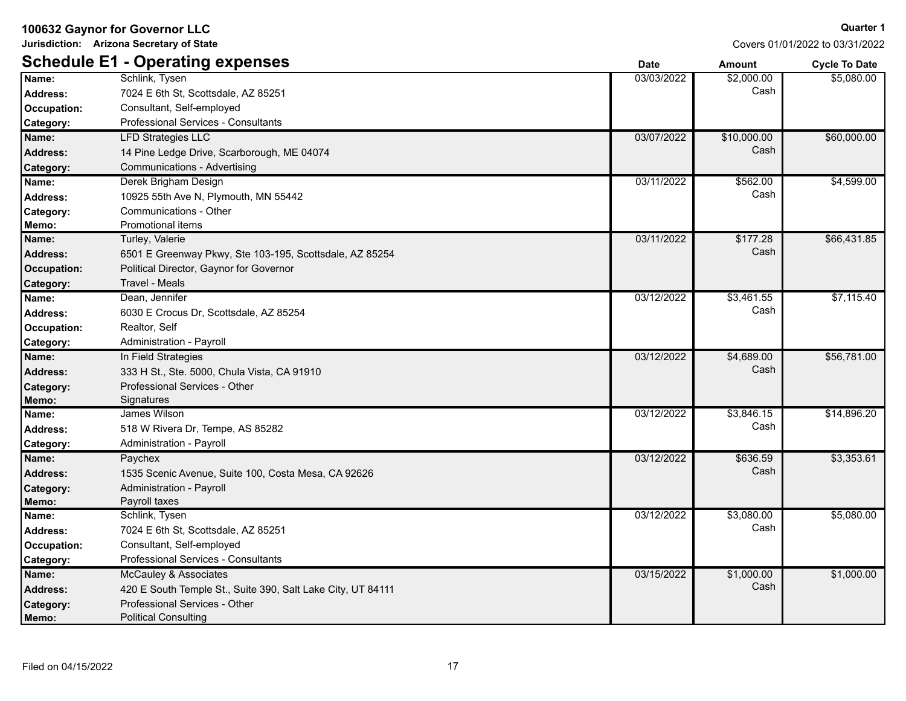**Jurisdiction: Arizona Secretary of State**

Covers 01/01/2022 to 03/31/2022

|                 | <b>Schedule E1 - Operating expenses</b>                     | <b>Date</b> | <b>Amount</b> | <b>Cycle To Date</b> |
|-----------------|-------------------------------------------------------------|-------------|---------------|----------------------|
| Name:           | Schlink, Tysen                                              | 03/03/2022  | \$2,000.00    | \$5,080.00           |
| <b>Address:</b> | 7024 E 6th St, Scottsdale, AZ 85251                         |             | Cash          |                      |
| Occupation:     | Consultant, Self-employed                                   |             |               |                      |
| Category:       | Professional Services - Consultants                         |             |               |                      |
| Name:           | <b>LFD Strategies LLC</b>                                   | 03/07/2022  | \$10,000.00   | \$60,000.00          |
| <b>Address:</b> | 14 Pine Ledge Drive, Scarborough, ME 04074                  |             | Cash          |                      |
| Category:       | Communications - Advertising                                |             |               |                      |
| Name:           | Derek Brigham Design                                        | 03/11/2022  | \$562.00      | \$4,599.00           |
| <b>Address:</b> | 10925 55th Ave N, Plymouth, MN 55442                        |             | Cash          |                      |
| Category:       | Communications - Other                                      |             |               |                      |
| Memo:           | Promotional items                                           |             |               |                      |
| Name:           | Turley, Valerie                                             | 03/11/2022  | \$177.28      | \$66,431.85          |
| <b>Address:</b> | 6501 E Greenway Pkwy, Ste 103-195, Scottsdale, AZ 85254     |             | Cash          |                      |
| Occupation:     | Political Director, Gaynor for Governor                     |             |               |                      |
| Category:       | <b>Travel - Meals</b>                                       |             |               |                      |
| Name:           | Dean, Jennifer                                              | 03/12/2022  | \$3,461.55    | \$7,115.40           |
| <b>Address:</b> | 6030 E Crocus Dr, Scottsdale, AZ 85254                      |             | Cash          |                      |
| Occupation:     | Realtor, Self                                               |             |               |                      |
| Category:       | Administration - Payroll                                    |             |               |                      |
| Name:           | In Field Strategies                                         | 03/12/2022  | \$4,689.00    | \$56,781.00          |
| <b>Address:</b> | 333 H St., Ste. 5000, Chula Vista, CA 91910                 |             | Cash          |                      |
| Category:       | Professional Services - Other                               |             |               |                      |
| Memo:           | Signatures                                                  |             |               |                      |
| Name:           | James Wilson                                                | 03/12/2022  | \$3,846.15    | \$14,896.20          |
| <b>Address:</b> | 518 W Rivera Dr, Tempe, AS 85282                            |             | Cash          |                      |
| Category:       | Administration - Payroll                                    |             |               |                      |
| Name:           | Paychex                                                     | 03/12/2022  | \$636.59      | \$3,353.61           |
| <b>Address:</b> | 1535 Scenic Avenue, Suite 100, Costa Mesa, CA 92626         |             | Cash          |                      |
| Category:       | Administration - Payroll                                    |             |               |                      |
| Memo:           | Payroll taxes                                               |             |               |                      |
| Name:           | Schlink, Tysen                                              | 03/12/2022  | \$3,080.00    | \$5,080.00           |
| <b>Address:</b> | 7024 E 6th St, Scottsdale, AZ 85251                         |             | Cash          |                      |
| Occupation:     | Consultant, Self-employed                                   |             |               |                      |
| Category:       | <b>Professional Services - Consultants</b>                  |             |               |                      |
| Name:           | McCauley & Associates                                       | 03/15/2022  | \$1,000.00    | \$1,000.00           |
| <b>Address:</b> | 420 E South Temple St., Suite 390, Salt Lake City, UT 84111 |             | Cash          |                      |
| Category:       | Professional Services - Other                               |             |               |                      |
| Memo:           | <b>Political Consulting</b>                                 |             |               |                      |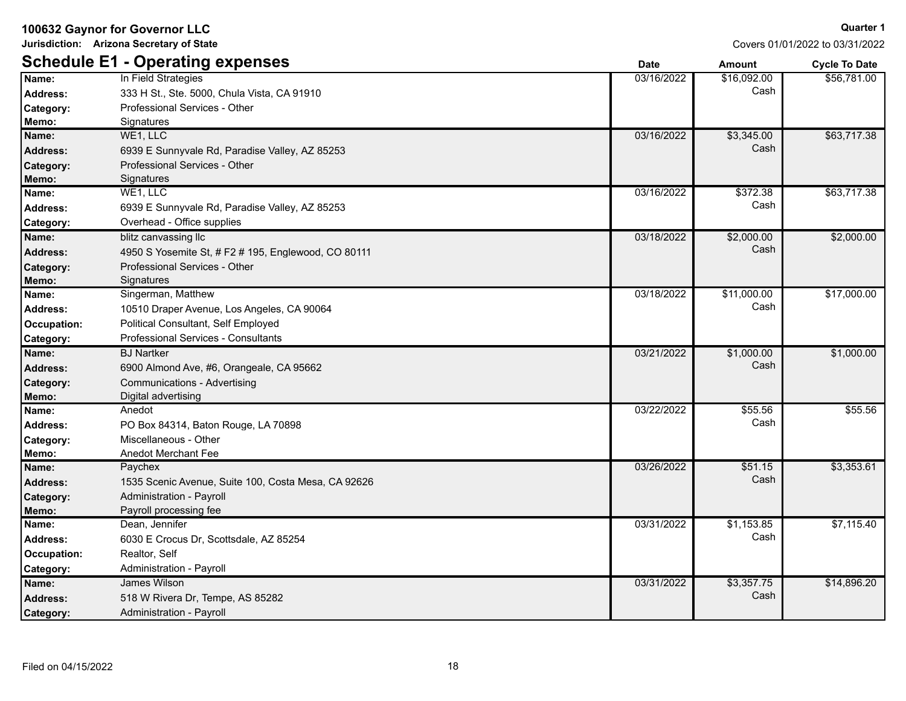**Jurisdiction: Arizona Secretary of State**

| Covers 01/01/2022 to 03/31/ |  |
|-----------------------------|--|

|                  | <b>Schedule E1 - Operating expenses</b>             | <b>Date</b> | <b>Amount</b> | <b>Cycle To Date</b> |
|------------------|-----------------------------------------------------|-------------|---------------|----------------------|
| Name:            | In Field Strategies                                 | 03/16/2022  | \$16,092.00   | \$56,781.00          |
| Address:         | 333 H St., Ste. 5000, Chula Vista, CA 91910         |             | Cash          |                      |
| Category:        | Professional Services - Other                       |             |               |                      |
| Memo:            | Signatures                                          |             |               |                      |
| Name:            | WE1, LLC                                            | 03/16/2022  | \$3,345.00    | \$63,717.38          |
| Address:         | 6939 E Sunnyvale Rd, Paradise Valley, AZ 85253      |             | Cash          |                      |
| <b>Category:</b> | Professional Services - Other                       |             |               |                      |
| Memo:            | Signatures                                          |             |               |                      |
| Name:            | WE1, LLC                                            | 03/16/2022  | \$372.38      | \$63,717.38          |
| <b>Address:</b>  | 6939 E Sunnyvale Rd, Paradise Valley, AZ 85253      |             | Cash          |                      |
| Category:        | Overhead - Office supplies                          |             |               |                      |
| Name:            | blitz canvassing llc                                | 03/18/2022  | \$2,000.00    | \$2,000.00           |
| Address:         | 4950 S Yosemite St, # F2 # 195, Englewood, CO 80111 |             | Cash          |                      |
| <b>Category:</b> | Professional Services - Other                       |             |               |                      |
| Memo:            | Signatures                                          |             |               |                      |
| Name:            | Singerman, Matthew                                  | 03/18/2022  | \$11,000.00   | \$17,000.00          |
| <b>Address:</b>  | 10510 Draper Avenue, Los Angeles, CA 90064          |             | Cash          |                      |
| Occupation:      | Political Consultant, Self Employed                 |             |               |                      |
| Category:        | Professional Services - Consultants                 |             |               |                      |
| Name:            | <b>BJ Nartker</b>                                   | 03/21/2022  | \$1,000.00    | \$1,000.00           |
| <b>Address:</b>  | 6900 Almond Ave, #6, Orangeale, CA 95662            |             | Cash          |                      |
| Category:        | Communications - Advertising                        |             |               |                      |
| Memo:            | Digital advertising                                 |             |               |                      |
| Name:            | Anedot                                              | 03/22/2022  | \$55.56       | \$55.56              |
| Address:         | PO Box 84314, Baton Rouge, LA 70898                 |             | Cash          |                      |
| Category:        | Miscellaneous - Other                               |             |               |                      |
| Memo:            | <b>Anedot Merchant Fee</b>                          |             |               |                      |
| Name:            | Paychex                                             | 03/26/2022  | \$51.15       | \$3,353.61           |
| Address:         | 1535 Scenic Avenue, Suite 100, Costa Mesa, CA 92626 |             | Cash          |                      |
| <b>Category:</b> | Administration - Payroll                            |             |               |                      |
| Memo:            | Payroll processing fee                              |             |               |                      |
| Name:            | Dean, Jennifer                                      | 03/31/2022  | \$1,153.85    | \$7,115.40           |
| Address:         | 6030 E Crocus Dr, Scottsdale, AZ 85254              |             | Cash          |                      |
| Occupation:      | Realtor, Self                                       |             |               |                      |
| Category:        | Administration - Payroll                            |             |               |                      |
| Name:            | James Wilson                                        | 03/31/2022  | \$3,357.75    | \$14,896.20          |
| <b>Address:</b>  | 518 W Rivera Dr, Tempe, AS 85282                    |             | Cash          |                      |
| Category:        | <b>Administration - Payroll</b>                     |             |               |                      |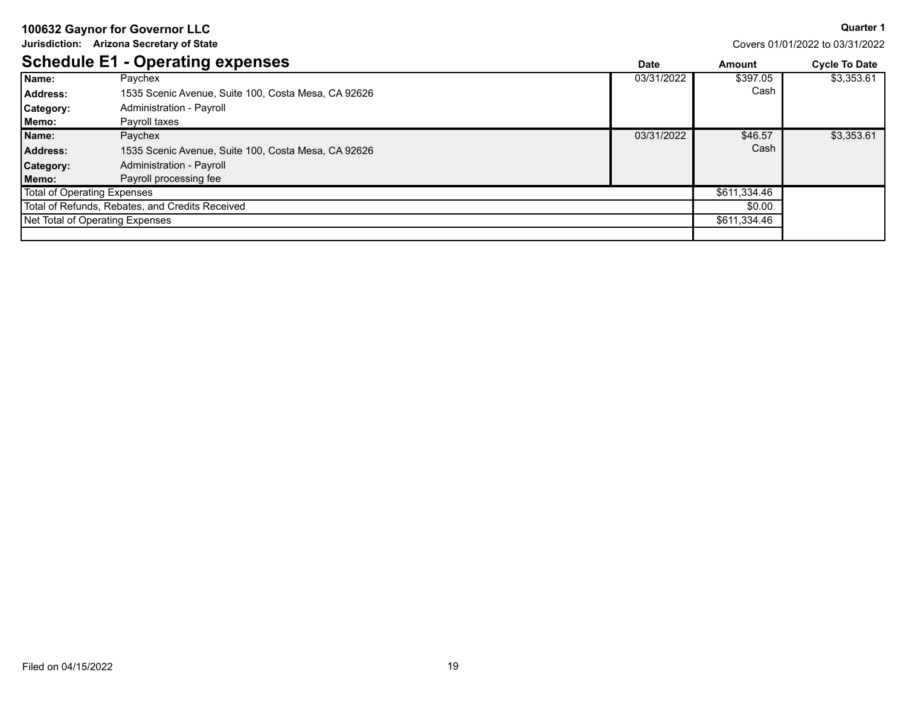**Jurisdiction: Arizona Secretary of State**

**Quarter 1**

|                                    | <b>Schedule E1 - Operating expenses</b>             | <b>Date</b> | Amount       | <b>Cycle To Date</b> |
|------------------------------------|-----------------------------------------------------|-------------|--------------|----------------------|
| Name:                              | Paychex                                             | 03/31/2022  | \$397.05     | \$3,353.61           |
| Address:                           | 1535 Scenic Avenue, Suite 100, Costa Mesa, CA 92626 |             | Cash         |                      |
| Category:                          | Administration - Payroll                            |             |              |                      |
| Memo:                              | Payroll taxes                                       |             |              |                      |
| Name:                              | Paychex                                             | 03/31/2022  | \$46.57      | \$3,353.61           |
| <b>Address:</b>                    | 1535 Scenic Avenue, Suite 100, Costa Mesa, CA 92626 |             | Cash         |                      |
| <b>Category:</b>                   | Administration - Payroll                            |             |              |                      |
| Memo:                              | Payroll processing fee                              |             |              |                      |
| <b>Total of Operating Expenses</b> |                                                     |             | \$611,334.46 |                      |
|                                    | Total of Refunds, Rebates, and Credits Received     |             | \$0.00       |                      |
|                                    | Net Total of Operating Expenses                     |             | \$611,334.46 |                      |
|                                    |                                                     |             |              |                      |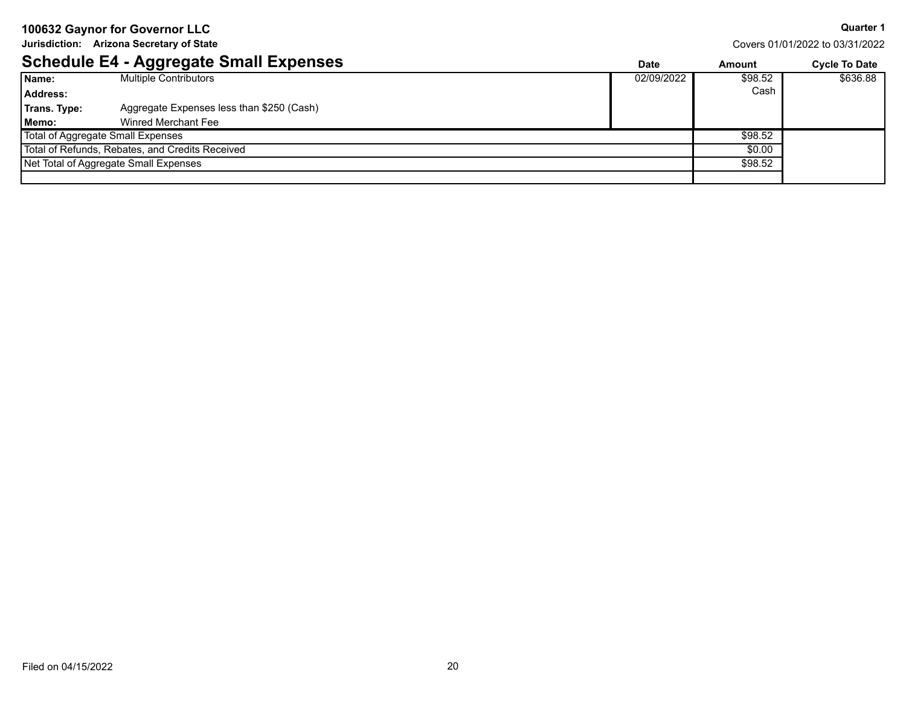**Jurisdiction: Arizona Secretary of State**

**Quarter 1**

|                                   | <b>Schedule E4 - Aggregate Small Expenses</b>   | <b>Date</b> | Amount  | <b>Cycle To Date</b> |
|-----------------------------------|-------------------------------------------------|-------------|---------|----------------------|
| Name:                             | <b>Multiple Contributors</b>                    | 02/09/2022  | \$98.52 | \$636.88             |
| Address:                          |                                                 |             | Cash    |                      |
| Trans. Type:                      | Aggregate Expenses less than \$250 (Cash)       |             |         |                      |
| Memo:                             | Winred Merchant Fee                             |             |         |                      |
| Total of Aggregate Small Expenses |                                                 |             | \$98.52 |                      |
|                                   | Total of Refunds, Rebates, and Credits Received |             | \$0.00  |                      |
|                                   | Net Total of Aggregate Small Expenses           |             | \$98.52 |                      |
|                                   |                                                 |             |         |                      |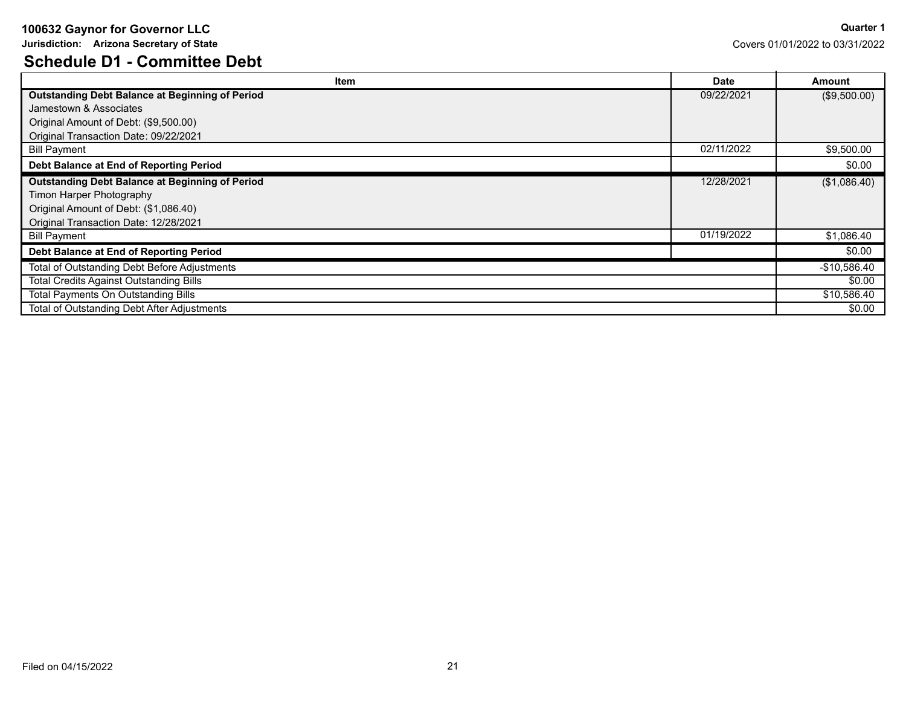**Jurisdiction: Arizona Secretary of State**

# **Schedule D1 - Committee Debt**

| Item                                                   | <b>Date</b> | Amount        |
|--------------------------------------------------------|-------------|---------------|
| <b>Outstanding Debt Balance at Beginning of Period</b> | 09/22/2021  | (\$9,500.00)  |
| Jamestown & Associates                                 |             |               |
| Original Amount of Debt: (\$9,500.00)                  |             |               |
| Original Transaction Date: 09/22/2021                  |             |               |
| <b>Bill Payment</b>                                    | 02/11/2022  | \$9,500.00    |
| Debt Balance at End of Reporting Period                |             | \$0.00        |
| <b>Outstanding Debt Balance at Beginning of Period</b> | 12/28/2021  | (\$1,086.40)  |
| Timon Harper Photography                               |             |               |
| Original Amount of Debt: (\$1,086.40)                  |             |               |
| Original Transaction Date: 12/28/2021                  |             |               |
| <b>Bill Payment</b>                                    | 01/19/2022  | \$1,086.40    |
| Debt Balance at End of Reporting Period                |             | \$0.00        |
| <b>Total of Outstanding Debt Before Adjustments</b>    |             | $-$10,586.40$ |
| <b>Total Credits Against Outstanding Bills</b>         |             | \$0.00        |
| <b>Total Payments On Outstanding Bills</b>             |             | \$10,586.40   |
| <b>Total of Outstanding Debt After Adjustments</b>     |             | \$0.00        |